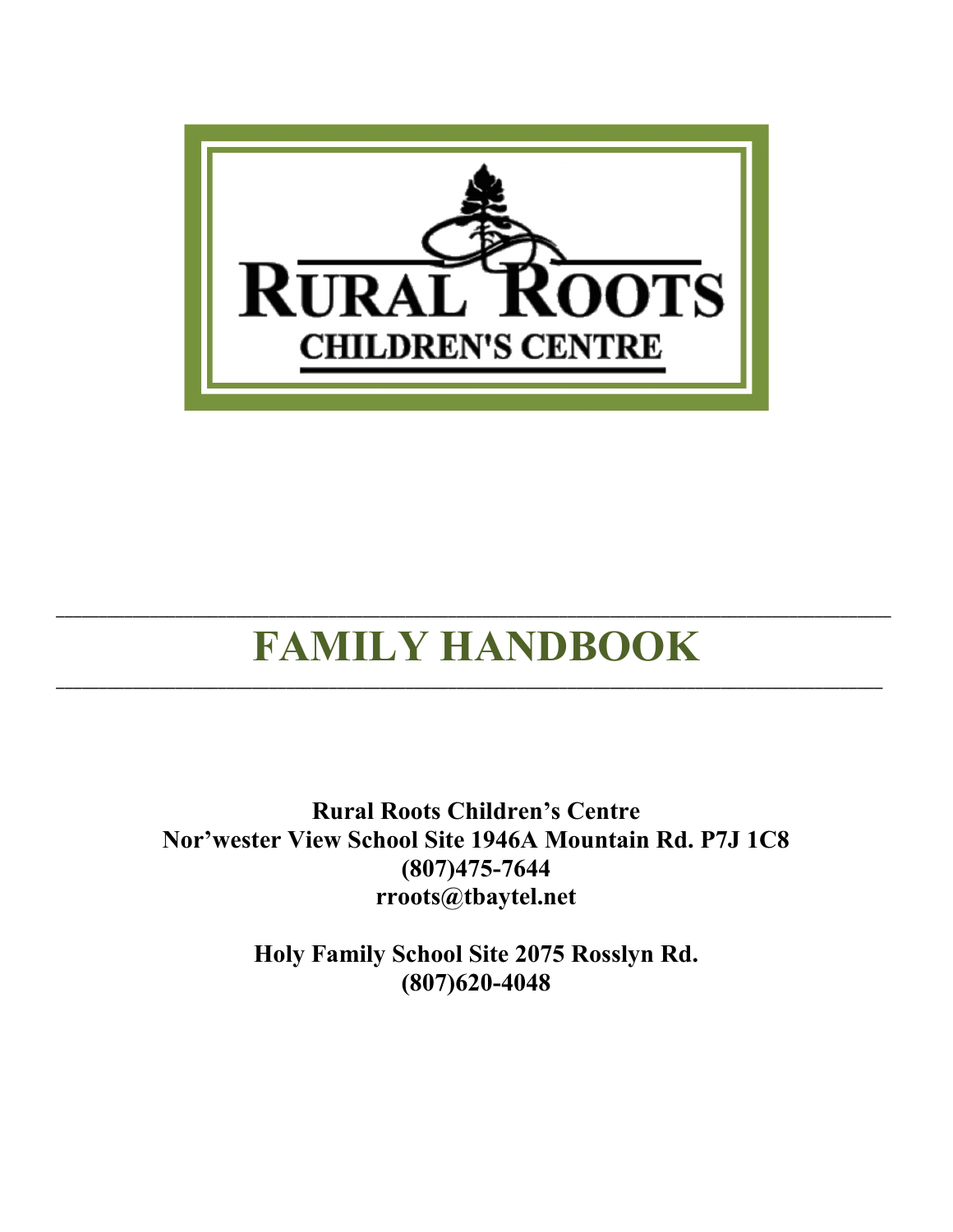

# FAMILY HANDBOOK

\_\_\_\_\_\_\_\_\_\_\_\_\_\_\_\_\_\_\_\_\_\_\_\_\_\_\_\_\_\_\_\_\_\_\_\_\_\_\_\_\_\_\_\_\_\_\_\_\_\_\_\_\_\_\_\_\_\_\_\_\_\_\_\_\_\_\_\_\_\_\_\_\_\_\_\_\_\_\_\_\_\_\_\_\_\_\_\_\_\_\_\_\_\_\_\_\_

\_\_\_\_\_\_\_\_\_\_\_\_\_\_\_\_\_\_\_\_\_\_\_\_\_\_\_\_\_\_\_\_\_\_\_\_\_\_\_\_\_\_\_\_\_\_\_\_\_\_\_\_\_\_\_\_\_\_\_\_\_\_\_\_\_\_\_\_\_\_\_\_\_\_\_\_\_\_\_\_\_\_\_\_\_\_\_\_\_\_\_\_\_\_\_\_\_\_

Rural Roots Children's Centre Nor'wester View School Site 1946A Mountain Rd. P7J 1C8 (807)475-7644 [rroots@tbaytel.net](mailto:rroots@tbaytel.net)

> Holy Family School Site 2075 Rosslyn Rd. (807)620-4048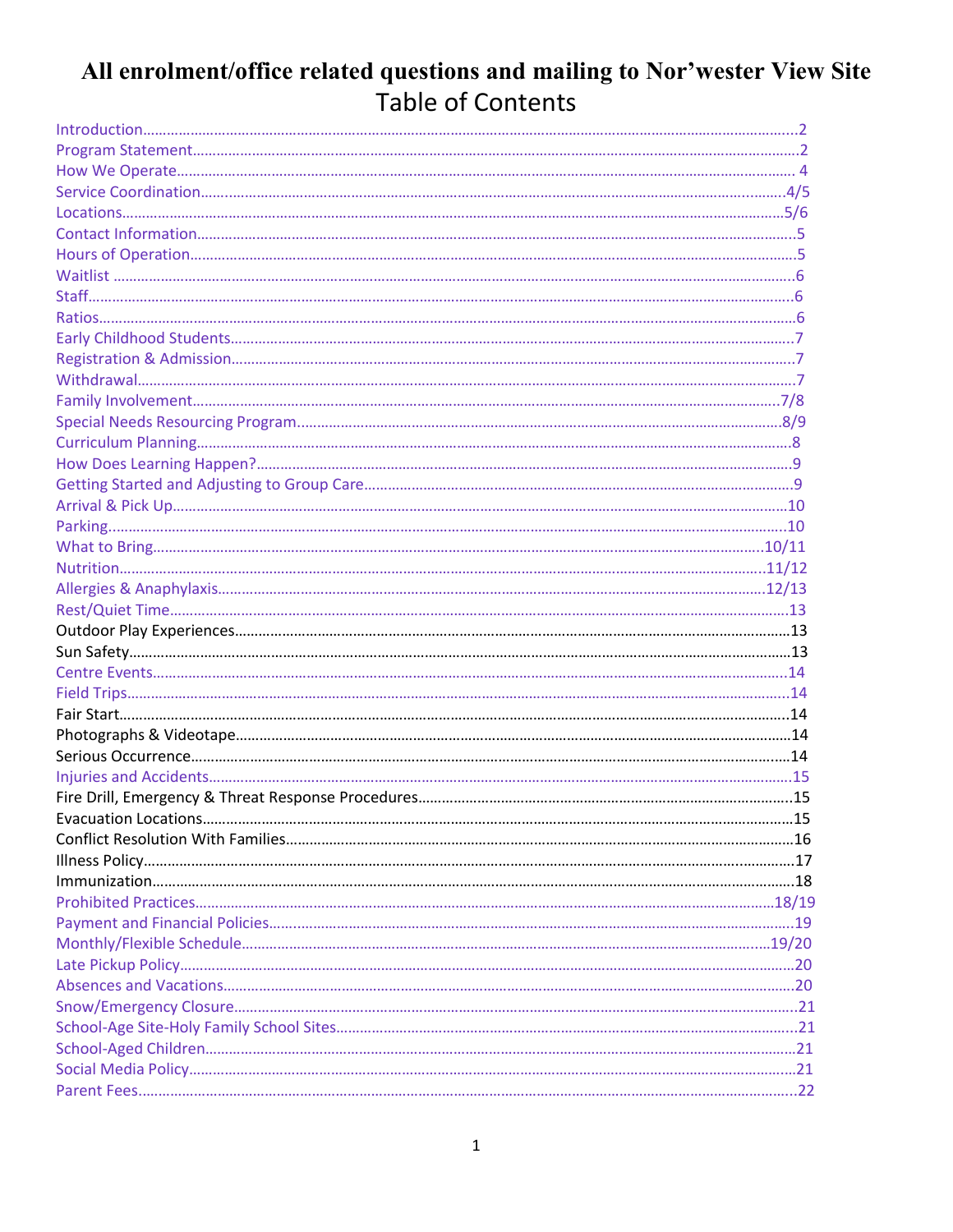#### All enrolment/office related questions and mailing to Nor'wester View Site Table of Contents

| .15 |
|-----|
|     |
|     |
|     |
|     |
|     |
|     |
|     |
|     |
|     |
|     |
|     |
|     |
|     |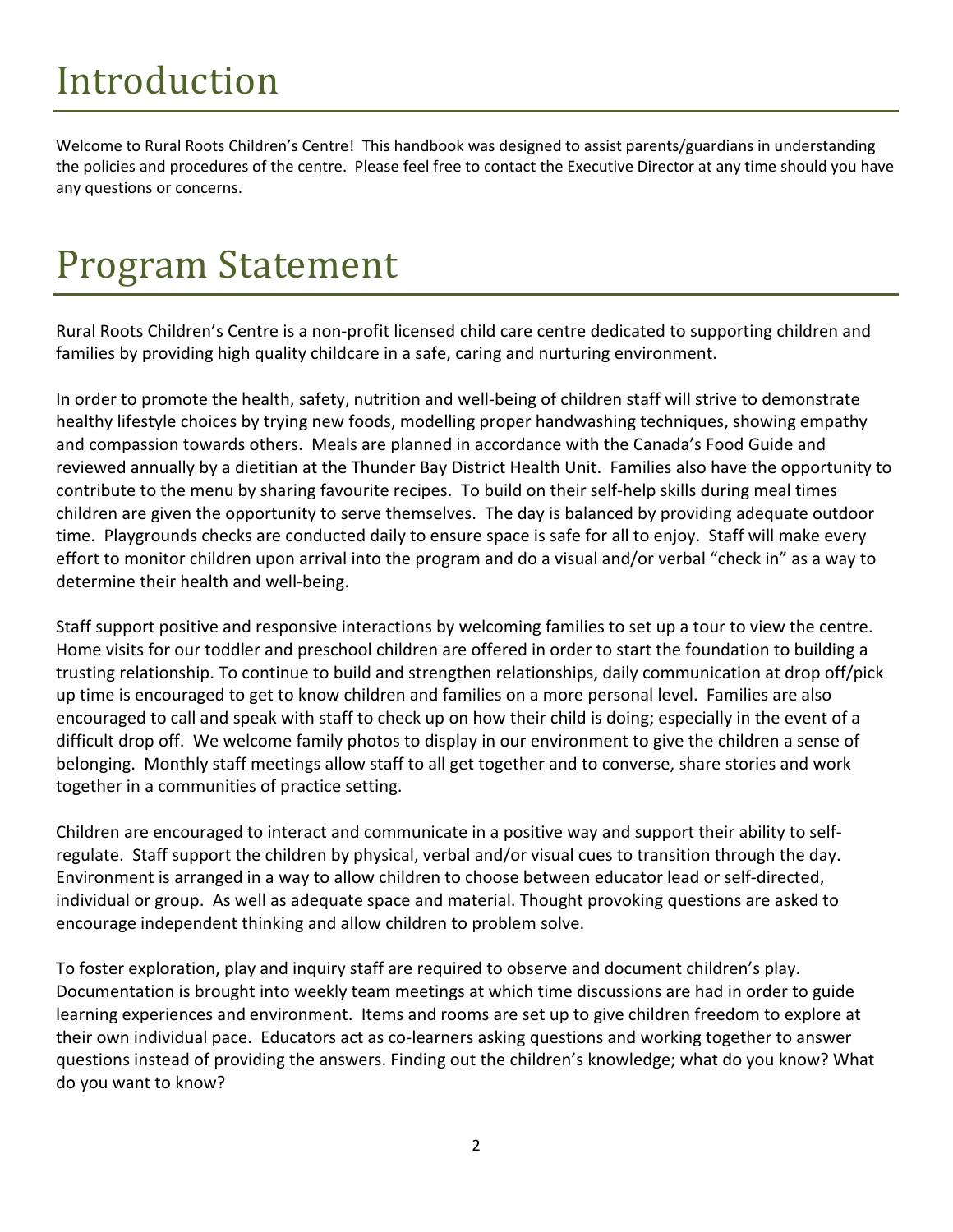# Introduction

Welcome to Rural Roots Children's Centre! This handbook was designed to assist parents/guardians in understanding the policies and procedures of the centre. Please feel free to contact the Executive Director at any time should you have any questions or concerns.

#### <span id="page-2-0"></span>Program Statement

Rural Roots Children's Centre is a non-profit licensed child care centre dedicated to supporting children and families by providing high quality childcare in a safe, caring and nurturing environment.

In order to promote the health, safety, nutrition and well-being of children staff will strive to demonstrate healthy lifestyle choices by trying new foods, modelling proper handwashing techniques, showing empathy and compassion towards others. Meals are planned in accordance with the Canada's Food Guide and reviewed annually by a dietitian at the Thunder Bay District Health Unit. Families also have the opportunity to contribute to the menu by sharing favourite recipes. To build on their self-help skills during meal times children are given the opportunity to serve themselves. The day is balanced by providing adequate outdoor time. Playgrounds checks are conducted daily to ensure space is safe for all to enjoy. Staff will make every effort to monitor children upon arrival into the program and do a visual and/or verbal "check in" as a way to determine their health and well-being.

Staff support positive and responsive interactions by welcoming families to set up a tour to view the centre. Home visits for our toddler and preschool children are offered in order to start the foundation to building a trusting relationship. To continue to build and strengthen relationships, daily communication at drop off/pick up time is encouraged to get to know children and families on a more personal level. Families are also encouraged to call and speak with staff to check up on how their child is doing; especially in the event of a difficult drop off. We welcome family photos to display in our environment to give the children a sense of belonging. Monthly staff meetings allow staff to all get together and to converse, share stories and work together in a communities of practice setting.

Children are encouraged to interact and communicate in a positive way and support their ability to selfregulate. Staff support the children by physical, verbal and/or visual cues to transition through the day. Environment is arranged in a way to allow children to choose between educator lead or self-directed, individual or group. As well as adequate space and material. Thought provoking questions are asked to encourage independent thinking and allow children to problem solve.

To foster exploration, play and inquiry staff are required to observe and document children's play. Documentation is brought into weekly team meetings at which time discussions are had in order to guide learning experiences and environment. Items and rooms are set up to give children freedom to explore at their own individual pace. Educators act as co-learners asking questions and working together to answer questions instead of providing the answers. Finding out the children's knowledge; what do you know? What do you want to know?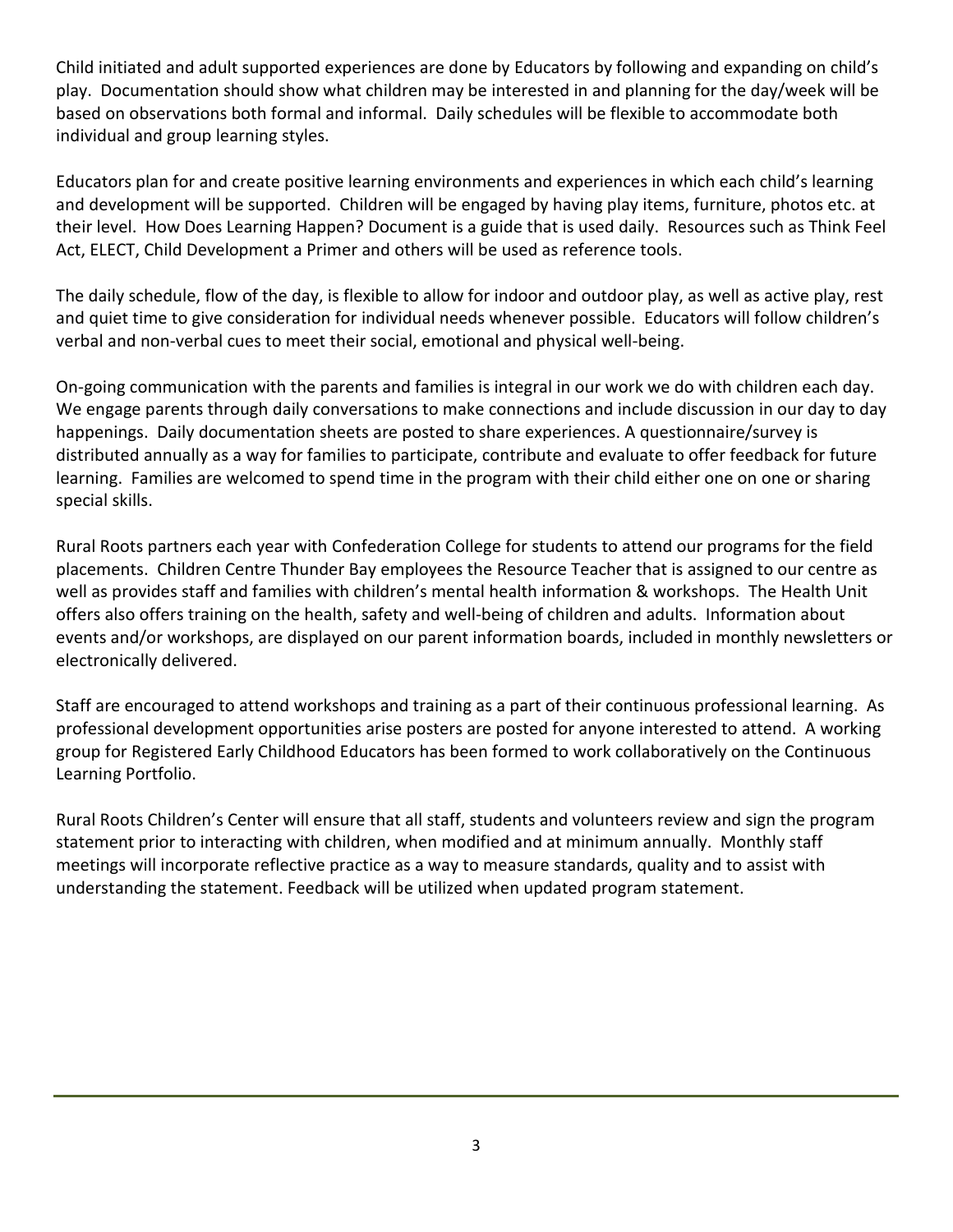Child initiated and adult supported experiences are done by Educators by following and expanding on child's play. Documentation should show what children may be interested in and planning for the day/week will be based on observations both formal and informal. Daily schedules will be flexible to accommodate both individual and group learning styles.

Educators plan for and create positive learning environments and experiences in which each child's learning and development will be supported. Children will be engaged by having play items, furniture, photos etc. at their level. How Does Learning Happen? Document is a guide that is used daily. Resources such as Think Feel Act, ELECT, Child Development a Primer and others will be used as reference tools.

The daily schedule, flow of the day, is flexible to allow for indoor and outdoor play, as well as active play, rest and quiet time to give consideration for individual needs whenever possible. Educators will follow children's verbal and non-verbal cues to meet their social, emotional and physical well-being.

On-going communication with the parents and families is integral in our work we do with children each day. We engage parents through daily conversations to make connections and include discussion in our day to day happenings. Daily documentation sheets are posted to share experiences. A questionnaire/survey is distributed annually as a way for families to participate, contribute and evaluate to offer feedback for future learning. Families are welcomed to spend time in the program with their child either one on one or sharing special skills.

Rural Roots partners each year with Confederation College for students to attend our programs for the field placements. Children Centre Thunder Bay employees the Resource Teacher that is assigned to our centre as well as provides staff and families with children's mental health information & workshops. The Health Unit offers also offers training on the health, safety and well-being of children and adults. Information about events and/or workshops, are displayed on our parent information boards, included in monthly newsletters or electronically delivered.

Staff are encouraged to attend workshops and training as a part of their continuous professional learning. As professional development opportunities arise posters are posted for anyone interested to attend. A working group for Registered Early Childhood Educators has been formed to work collaboratively on the Continuous Learning Portfolio.

Rural Roots Children's Center will ensure that all staff, students and volunteers review and sign the program statement prior to interacting with children, when modified and at minimum annually. Monthly staff meetings will incorporate reflective practice as a way to measure standards, quality and to assist with understanding the statement. Feedback will be utilized when updated program statement.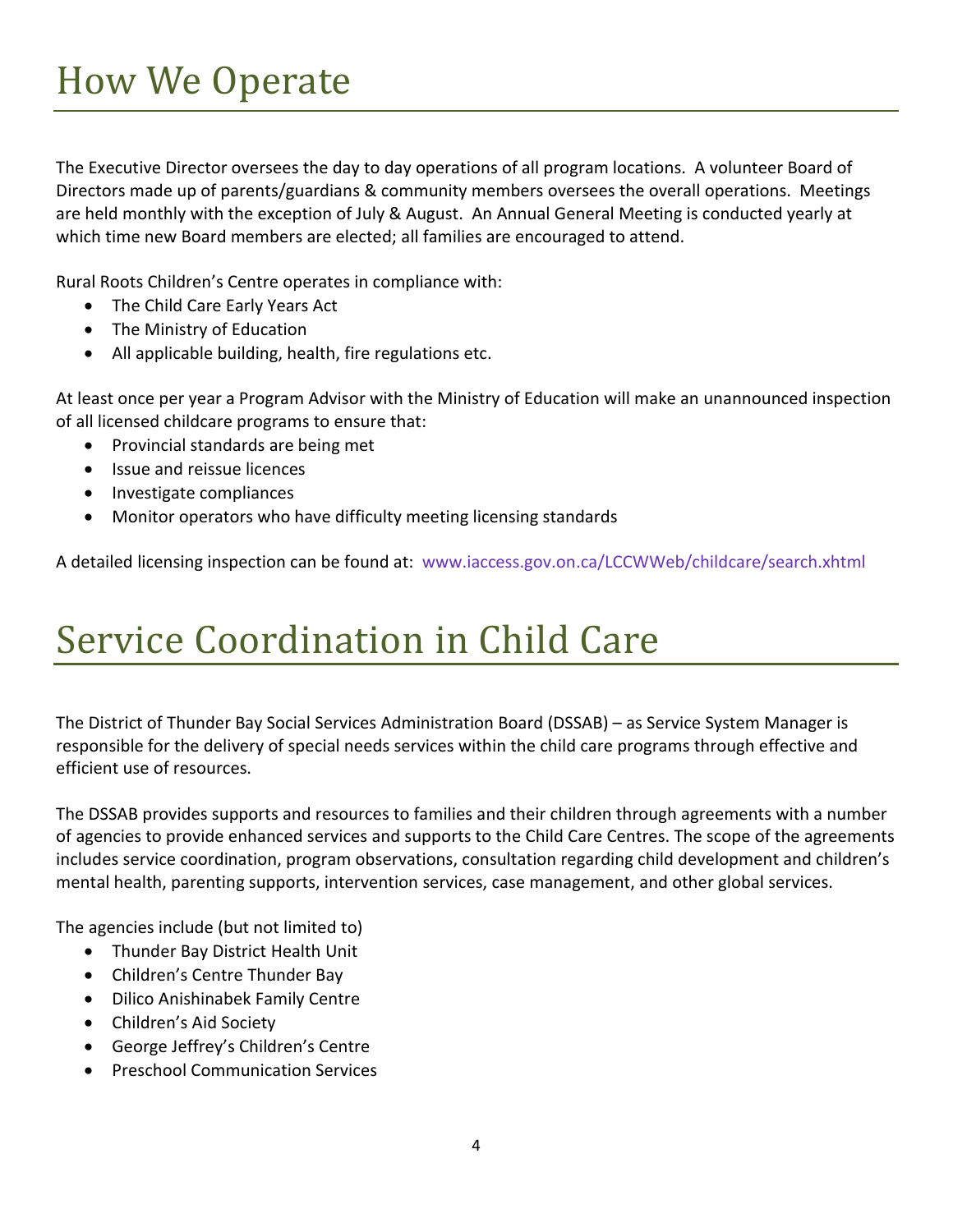<span id="page-4-0"></span>The Executive Director oversees the day to day operations of all program locations. A volunteer Board of Directors made up of parents/guardians & community members oversees the overall operations. Meetings are held monthly with the exception of July & August. An Annual General Meeting is conducted yearly at which time new Board members are elected; all families are encouraged to attend.

Rural Roots Children's Centre operates in compliance with:

- The Child Care Early Years Act
- The Ministry of Education
- All applicable building, health, fire regulations etc.

At least once per year a Program Advisor with the Ministry of Education will make an unannounced inspection of all licensed childcare programs to ensure that:

- Provincial standards are being met
- Issue and reissue licences
- Investigate compliances
- Monitor operators who have difficulty meeting licensing standards

A detailed licensing inspection can be found at: [www.iaccess.gov.on.ca/LCCWWeb/childcare/search.xhtml](http://www.iaccess.gov.on.ca/LCCWWeb/childcare/search.xhtml)

## <span id="page-4-1"></span>Service Coordination in Child Care

The District of Thunder Bay Social Services Administration Board (DSSAB) – as Service System Manager is responsible for the delivery of special needs services within the child care programs through effective and efficient use of resources.

The DSSAB provides supports and resources to families and their children through agreements with a number of agencies to provide enhanced services and supports to the Child Care Centres. The scope of the agreements includes service coordination, program observations, consultation regarding child development and children's mental health, parenting supports, intervention services, case management, and other global services.

The agencies include (but not limited to)

- Thunder Bay District Health Unit
- Children's Centre Thunder Bay
- Dilico Anishinabek Family Centre
- Children's Aid Society
- George Jeffrey's Children's Centre
- **•** Preschool Communication Services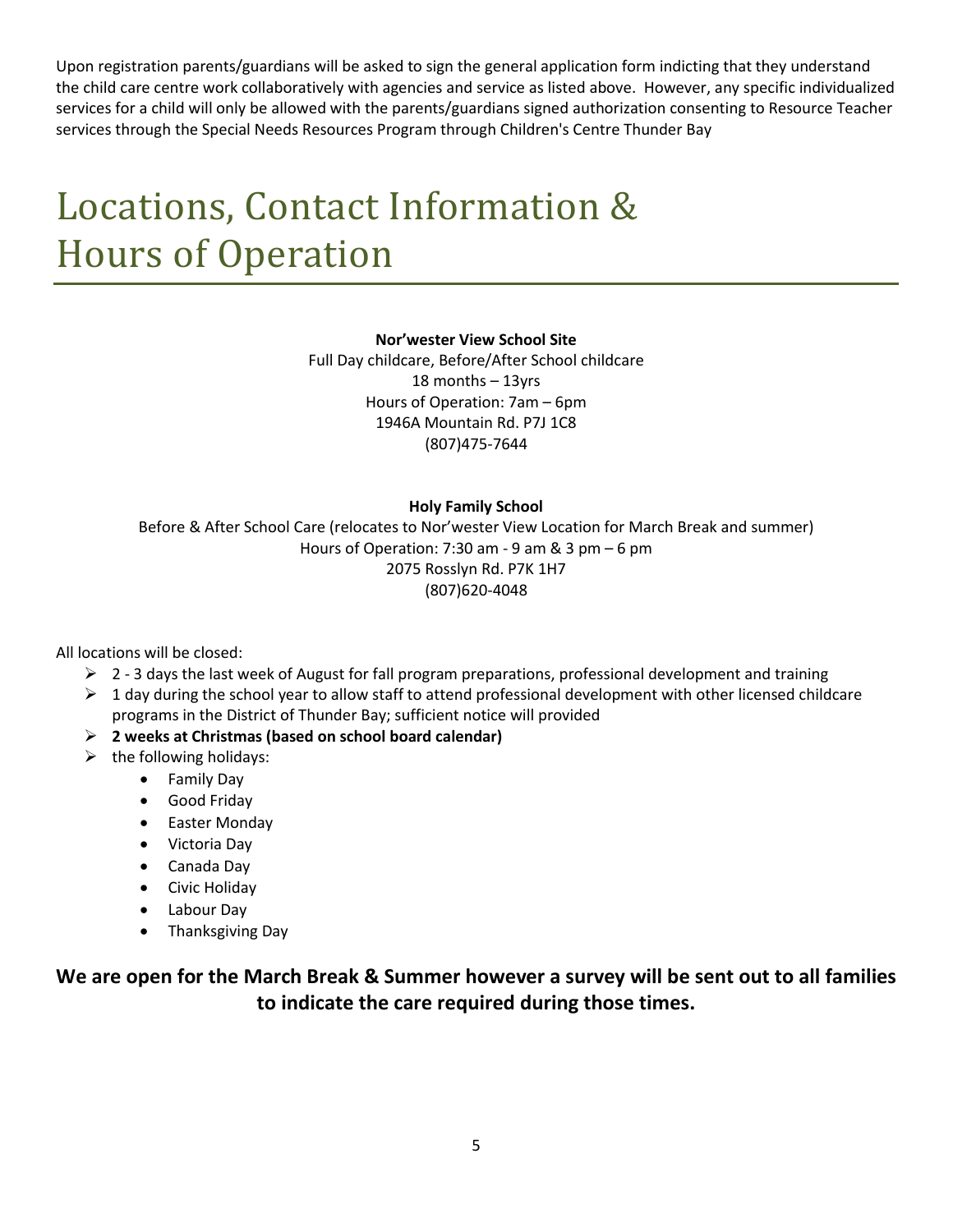Upon registration parents/guardians will be asked to sign the general application form indicting that they understand the child care centre work collaboratively with agencies and service as listed above. However, any specific individualized services for a child will only be allowed with the parents/guardians signed authorization consenting to Resource Teacher services through the Special Needs Resources Program through Children's Centre Thunder Bay

## <span id="page-5-0"></span>Locations, Contact Information & Hours of Operation

#### Nor'wester View School Site

Full Day childcare, Before/After School childcare 18 months – 13yrs Hours of Operation: 7am – 6pm 1946A Mountain Rd. P7J 1C8 (807)475-7644

#### Holy Family School

Before & After School Care (relocates to Nor'wester View Location for March Break and summer) Hours of Operation: 7:30 am - 9 am & 3 pm  $-6$  pm 2075 Rosslyn Rd. P7K 1H7 (807)620-4048

All locations will be closed:

- $\geq 2$  3 days the last week of August for fall program preparations, professional development and training
- $\triangleright$  1 day during the school year to allow staff to attend professional development with other licensed childcare programs in the District of Thunder Bay; sufficient notice will provided
- $\triangleright$  2 weeks at Christmas (based on school board calendar)
- $\triangleright$  the following holidays:
	- Family Day
	- Good Friday
	- Easter Monday
	- Victoria Day
	- Canada Day
	- **•** Civic Holiday
	- Labour Day
	- Thanksgiving Day

We are open for the March Break & Summer however a survey will be sent out to all families to indicate the care required during those times.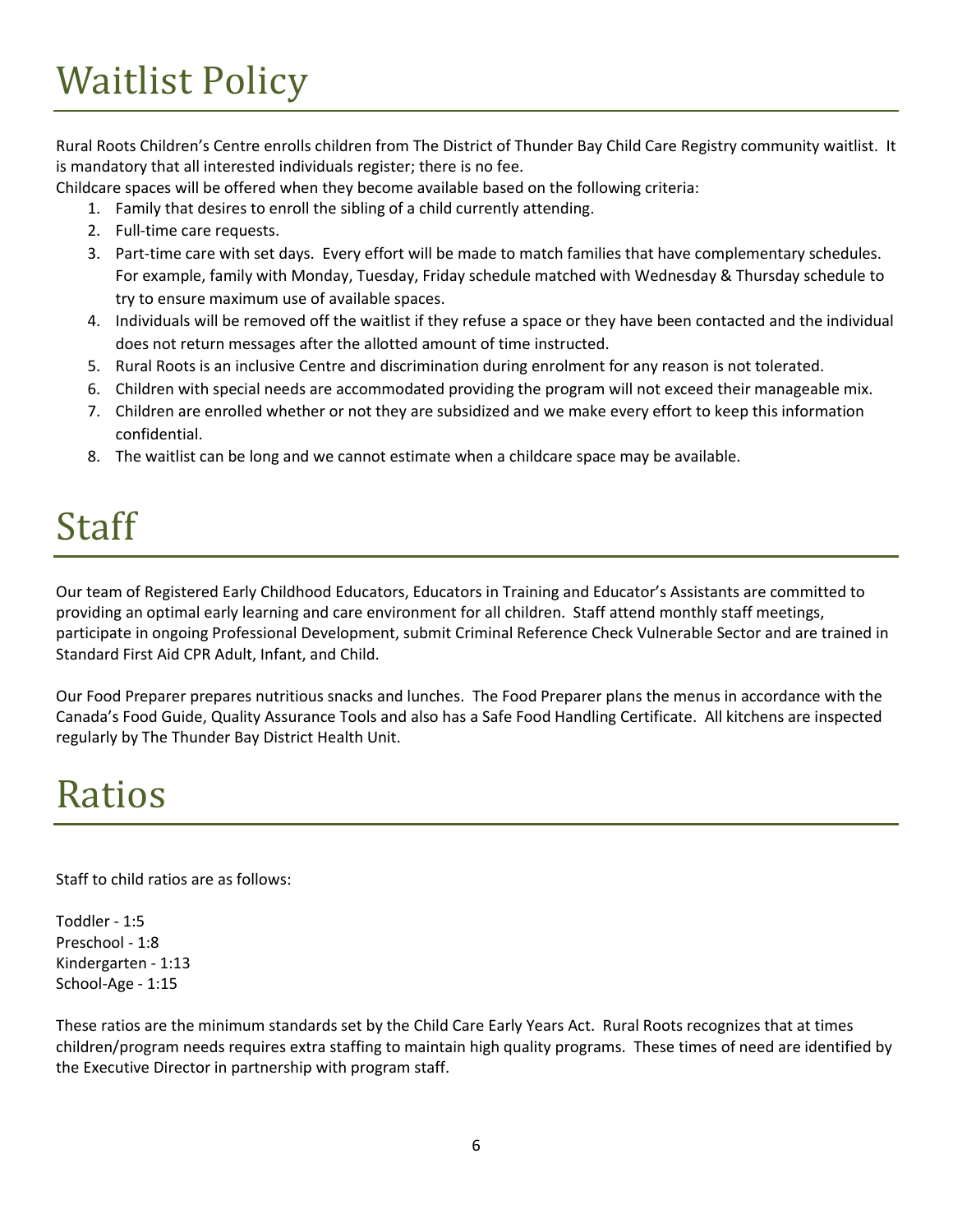# <span id="page-6-0"></span>Waitlist Policy

Rural Roots Children's Centre enrolls children from The District of Thunder Bay Child Care Registry community waitlist. It is mandatory that all interested individuals register; there is no fee.

Childcare spaces will be offered when they become available based on the following criteria:

- 1. Family that desires to enroll the sibling of a child currently attending.
- 2. Full-time care requests.
- 3. Part-time care with set days. Every effort will be made to match families that have complementary schedules. For example, family with Monday, Tuesday, Friday schedule matched with Wednesday & Thursday schedule to try to ensure maximum use of available spaces.
- 4. Individuals will be removed off the waitlist if they refuse a space or they have been contacted and the individual does not return messages after the allotted amount of time instructed.
- 5. Rural Roots is an inclusive Centre and discrimination during enrolment for any reason is not tolerated.
- 6. Children with special needs are accommodated providing the program will not exceed their manageable mix.
- 7. Children are enrolled whether or not they are subsidized and we make every effort to keep this information confidential.
- 8. The waitlist can be long and we cannot estimate when a childcare space may be available.

## <span id="page-6-1"></span>Staff

Our team of Registered Early Childhood Educators, Educators in Training and Educator's Assistants are committed to providing an optimal early learning and care environment for all children. Staff attend monthly staff meetings, participate in ongoing Professional Development, submit Criminal Reference Check Vulnerable Sector and are trained in Standard First Aid CPR Adult, Infant, and Child.

Our Food Preparer prepares nutritious snacks and lunches. The Food Preparer plans the menus in accordance with the Canada's Food Guide, Quality Assurance Tools and also has a Safe Food Handling Certificate. All kitchens are inspected regularly by The Thunder Bay District Health Unit.

#### <span id="page-6-2"></span>Ratios

Staff to child ratios are as follows:

Toddler - 1:5 Preschool - 1:8 Kindergarten - 1:13 School-Age - 1:15

These ratios are the minimum standards set by the Child Care Early Years Act. Rural Roots recognizes that at times children/program needs requires extra staffing to maintain high quality programs. These times of need are identified by the Executive Director in partnership with program staff.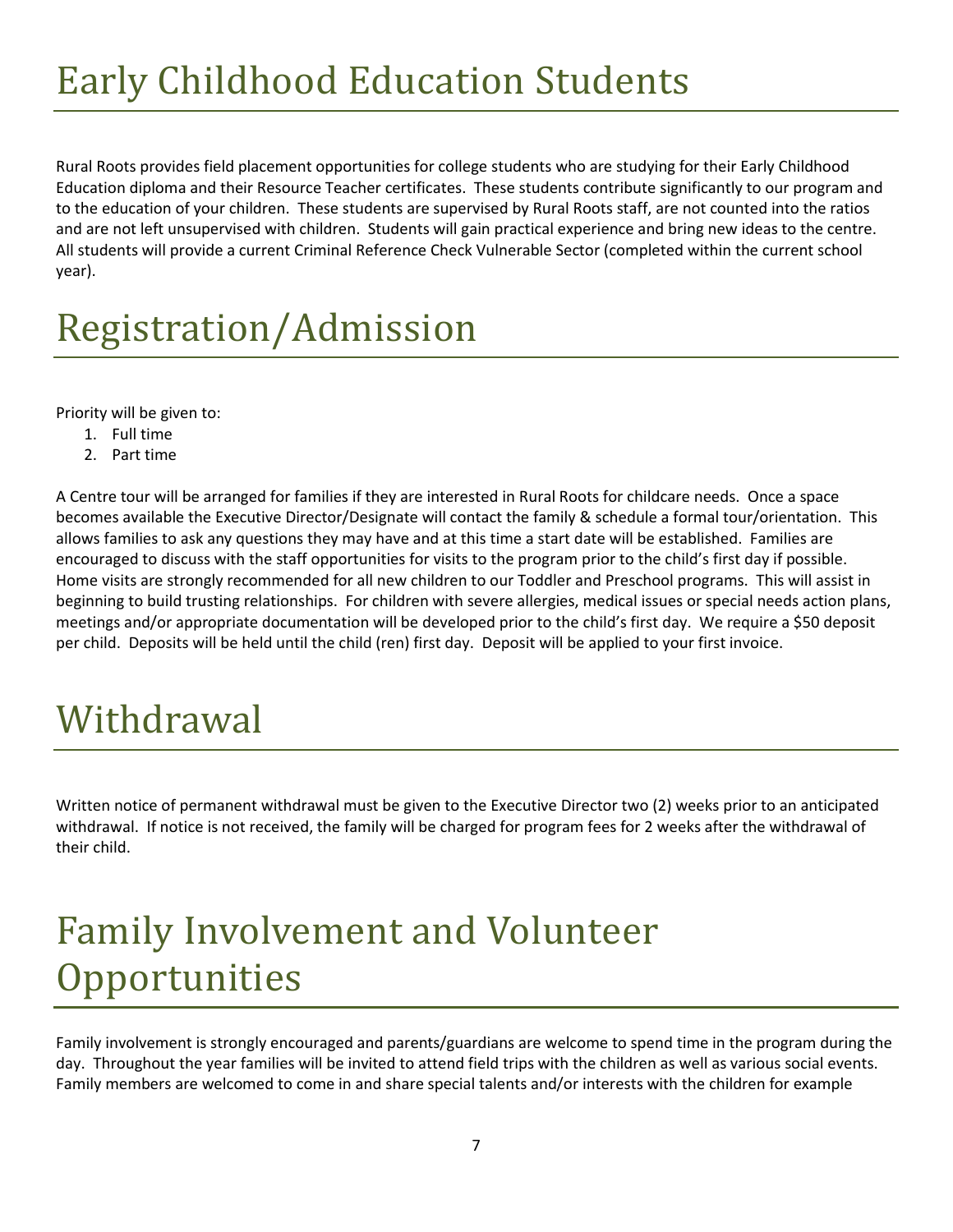# <span id="page-7-0"></span>Early Childhood Education Students

Rural Roots provides field placement opportunities for college students who are studying for their Early Childhood Education diploma and their Resource Teacher certificates. These students contribute significantly to our program and to the education of your children. These students are supervised by Rural Roots staff, are not counted into the ratios and are not left unsupervised with children. Students will gain practical experience and bring new ideas to the centre. All students will provide a current Criminal Reference Check Vulnerable Sector (completed within the current school year).

# <span id="page-7-1"></span>Registration/Admission

Priority will be given to:

- 1. Full time
- 2. Part time

A Centre tour will be arranged for families if they are interested in Rural Roots for childcare needs. Once a space becomes available the Executive Director/Designate will contact the family & schedule a formal tour/orientation. This allows families to ask any questions they may have and at this time a start date will be established. Families are encouraged to discuss with the staff opportunities for visits to the program prior to the child's first day if possible. Home visits are strongly recommended for all new children to our Toddler and Preschool programs. This will assist in beginning to build trusting relationships. For children with severe allergies, medical issues or special needs action plans, meetings and/or appropriate documentation will be developed prior to the child's first day. We require a \$50 deposit per child. Deposits will be held until the child (ren) first day. Deposit will be applied to your first invoice.

## <span id="page-7-2"></span>Withdrawal

Written notice of permanent withdrawal must be given to the Executive Director two (2) weeks prior to an anticipated withdrawal. If notice is not received, the family will be charged for program fees for 2 weeks after the withdrawal of their child.

## <span id="page-7-3"></span>Family Involvement and Volunteer **Opportunities**

Family involvement is strongly encouraged and parents/guardians are welcome to spend time in the program during the day. Throughout the year families will be invited to attend field trips with the children as well as various social events. Family members are welcomed to come in and share special talents and/or interests with the children for example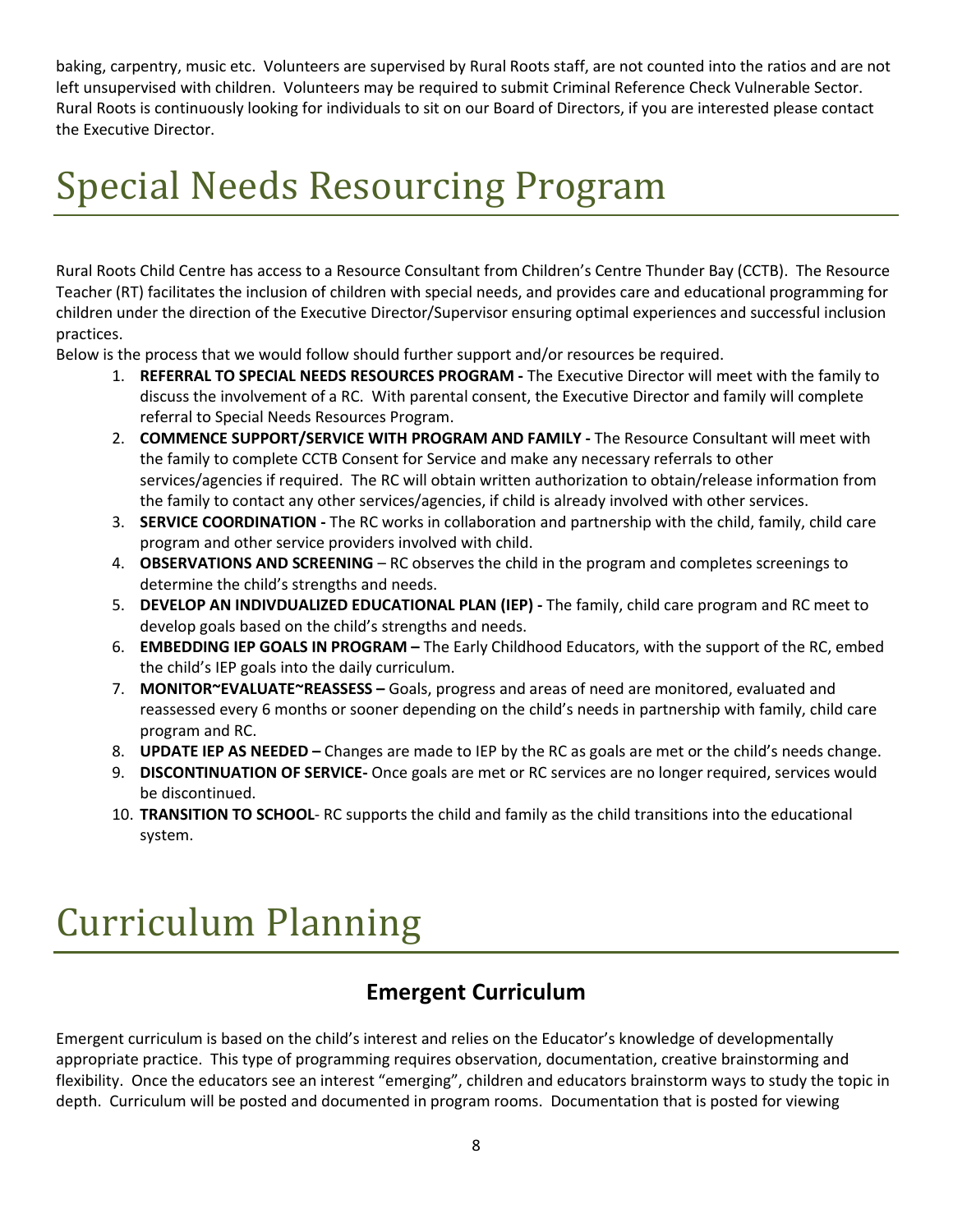baking, carpentry, music etc. Volunteers are supervised by Rural Roots staff, are not counted into the ratios and are not left unsupervised with children. Volunteers may be required to submit Criminal Reference Check Vulnerable Sector. Rural Roots is continuously looking for individuals to sit on our Board of Directors, if you are interested please contact the Executive Director.

## <span id="page-8-0"></span>Special Needs Resourcing Program

Rural Roots Child Centre has access to a Resource Consultant from Children's Centre Thunder Bay (CCTB). The Resource Teacher (RT) facilitates the inclusion of children with special needs, and provides care and educational programming for children under the direction of the Executive Director/Supervisor ensuring optimal experiences and successful inclusion practices.

Below is the process that we would follow should further support and/or resources be required.

- 1. REFERRAL TO SPECIAL NEEDS RESOURCES PROGRAM The Executive Director will meet with the family to discuss the involvement of a RC. With parental consent, the Executive Director and family will complete referral to Special Needs Resources Program.
- 2. COMMENCE SUPPORT/SERVICE WITH PROGRAM AND FAMILY The Resource Consultant will meet with the family to complete CCTB Consent for Service and make any necessary referrals to other services/agencies if required. The RC will obtain written authorization to obtain/release information from the family to contact any other services/agencies, if child is already involved with other services.
- 3. SERVICE COORDINATION The RC works in collaboration and partnership with the child, family, child care program and other service providers involved with child.
- 4. **OBSERVATIONS AND SCREENING** RC observes the child in the program and completes screenings to determine the child's strengths and needs.
- 5. DEVELOP AN INDIVDUALIZED EDUCATIONAL PLAN (IEP) The family, child care program and RC meet to develop goals based on the child's strengths and needs.
- 6. EMBEDDING IEP GOALS IN PROGRAM The Early Childhood Educators, with the support of the RC, embed the child's IEP goals into the daily curriculum.
- 7. MONITOR~EVALUATE~REASSESS Goals, progress and areas of need are monitored, evaluated and reassessed every 6 months or sooner depending on the child's needs in partnership with family, child care program and RC.
- 8. **UPDATE IEP AS NEEDED** Changes are made to IEP by the RC as goals are met or the child's needs change.
- 9. DISCONTINUATION OF SERVICE- Once goals are met or RC services are no longer required, services would be discontinued.
- 10. TRANSITION TO SCHOOL- RC supports the child and family as the child transitions into the educational system.

### <span id="page-8-1"></span>Curriculum Planning

#### Emergent Curriculum

Emergent curriculum is based on the child's interest and relies on the Educator's knowledge of developmentally appropriate practice. This type of programming requires observation, documentation, creative brainstorming and flexibility. Once the educators see an interest "emerging", children and educators brainstorm ways to study the topic in depth. Curriculum will be posted and documented in program rooms. Documentation that is posted for viewing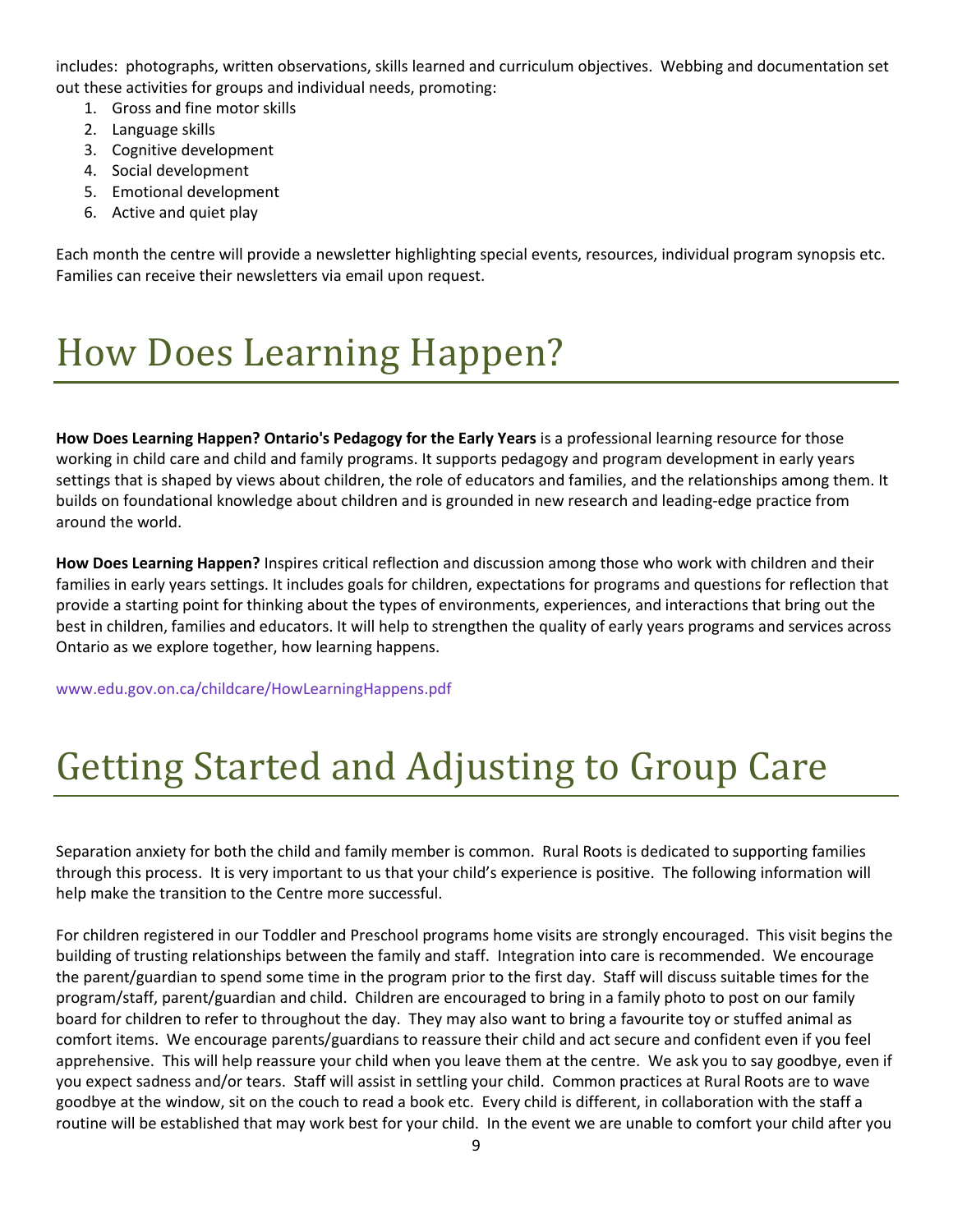includes: photographs, written observations, skills learned and curriculum objectives. Webbing and documentation set out these activities for groups and individual needs, promoting:

- 1. Gross and fine motor skills
- 2. Language skills
- 3. Cognitive development
- 4. Social development
- 5. Emotional development
- 6. Active and quiet play

Each month the centre will provide a newsletter highlighting special events, resources, individual program synopsis etc. Families can receive their newsletters via email upon request.

# <span id="page-9-0"></span>How Does Learning Happen?

How Does Learning Happen? Ontario's Pedagogy for the Early Years is a professional learning resource for those working in child care and child and family programs. It supports pedagogy and program development in early years settings that is shaped by views about children, the role of educators and families, and the relationships among them. It builds on foundational knowledge about children and is grounded in new research and leading-edge practice from around the world.

How Does Learning Happen? Inspires critical reflection and discussion among those who work with children and their families in early years settings. It includes goals for children, expectations for programs and questions for reflection that provide a starting point for thinking about the types of environments, experiences, and interactions that bring out the best in children, families and educators. It will help to strengthen the quality of early years programs and services across Ontario as we explore together, how learning happens.

[www.edu.gov.on.ca/childcare/HowLearningHappens.pdf](http://www.edu.gov.on.ca/childcare/HowLearningHappens.pdf)

# <span id="page-9-1"></span>Getting Started and Adjusting to Group Care

Separation anxiety for both the child and family member is common. Rural Roots is dedicated to supporting families through this process. It is very important to us that your child's experience is positive. The following information will help make the transition to the Centre more successful.

For children registered in our Toddler and Preschool programs home visits are strongly encouraged. This visit begins the building of trusting relationships between the family and staff. Integration into care is recommended. We encourage the parent/guardian to spend some time in the program prior to the first day. Staff will discuss suitable times for the program/staff, parent/guardian and child. Children are encouraged to bring in a family photo to post on our family board for children to refer to throughout the day. They may also want to bring a favourite toy or stuffed animal as comfort items. We encourage parents/guardians to reassure their child and act secure and confident even if you feel apprehensive. This will help reassure your child when you leave them at the centre. We ask you to say goodbye, even if you expect sadness and/or tears. Staff will assist in settling your child. Common practices at Rural Roots are to wave goodbye at the window, sit on the couch to read a book etc. Every child is different, in collaboration with the staff a routine will be established that may work best for your child. In the event we are unable to comfort your child after you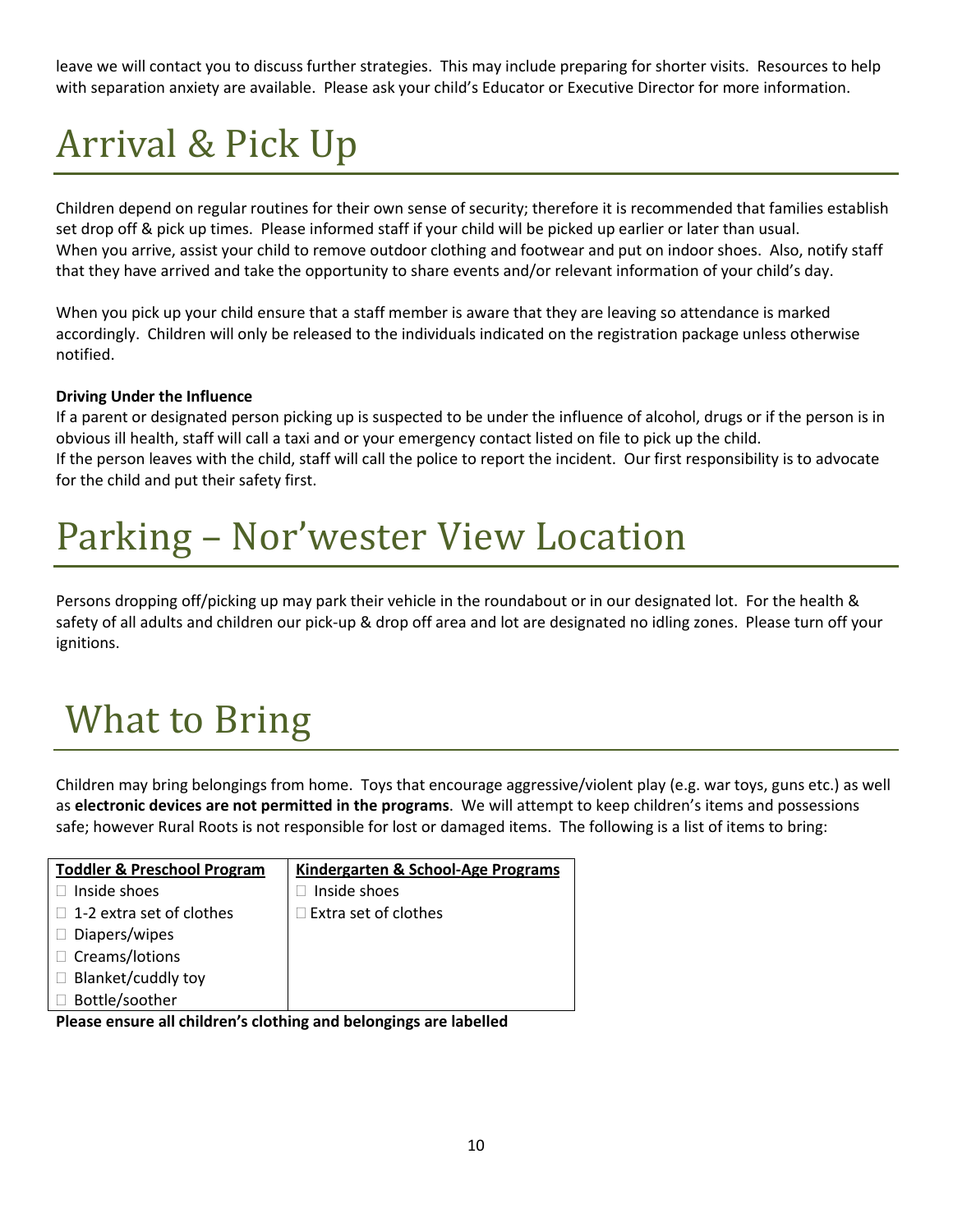leave we will contact you to discuss further strategies. This may include preparing for shorter visits. Resources to help with separation anxiety are available. Please ask your child's Educator or Executive Director for more information.

# <span id="page-10-0"></span>Arrival & Pick Up

Children depend on regular routines for their own sense of security; therefore it is recommended that families establish set drop off & pick up times. Please informed staff if your child will be picked up earlier or later than usual. When you arrive, assist your child to remove outdoor clothing and footwear and put on indoor shoes. Also, notify staff that they have arrived and take the opportunity to share events and/or relevant information of your child's day.

When you pick up your child ensure that a staff member is aware that they are leaving so attendance is marked accordingly. Children will only be released to the individuals indicated on the registration package unless otherwise notified.

#### Driving Under the Influence

If a parent or designated person picking up is suspected to be under the influence of alcohol, drugs or if the person is in obvious ill health, staff will call a taxi and or your emergency contact listed on file to pick up the child. If the person leaves with the child, staff will call the police to report the incident. Our first responsibility is to advocate for the child and put their safety first.

## <span id="page-10-1"></span>Parking – Nor'wester View Location

Persons dropping off/picking up may park their vehicle in the roundabout or in our designated lot. For the health & safety of all adults and children our pick-up & drop off area and lot are designated no idling zones. Please turn off your ignitions.

# <span id="page-10-2"></span>What to Bring

Children may bring belongings from home. Toys that encourage aggressive/violent play (e.g. war toys, guns etc.) as well as electronic devices are not permitted in the programs. We will attempt to keep children's items and possessions safe; however Rural Roots is not responsible for lost or damaged items. The following is a list of items to bring:

| <b>Toddler &amp; Preschool Program</b> | Kindergarten & School-Age Programs |
|----------------------------------------|------------------------------------|
| Inside shoes                           | Inside shoes                       |
| 1-2 extra set of clothes               | $\exists$ Extra set of clothes     |
| Diapers/wipes                          |                                    |
| Creams/lotions                         |                                    |
| Blanket/cuddly toy                     |                                    |
| Bottle/soother                         |                                    |

Please ensure all children's clothing and belongings are labelled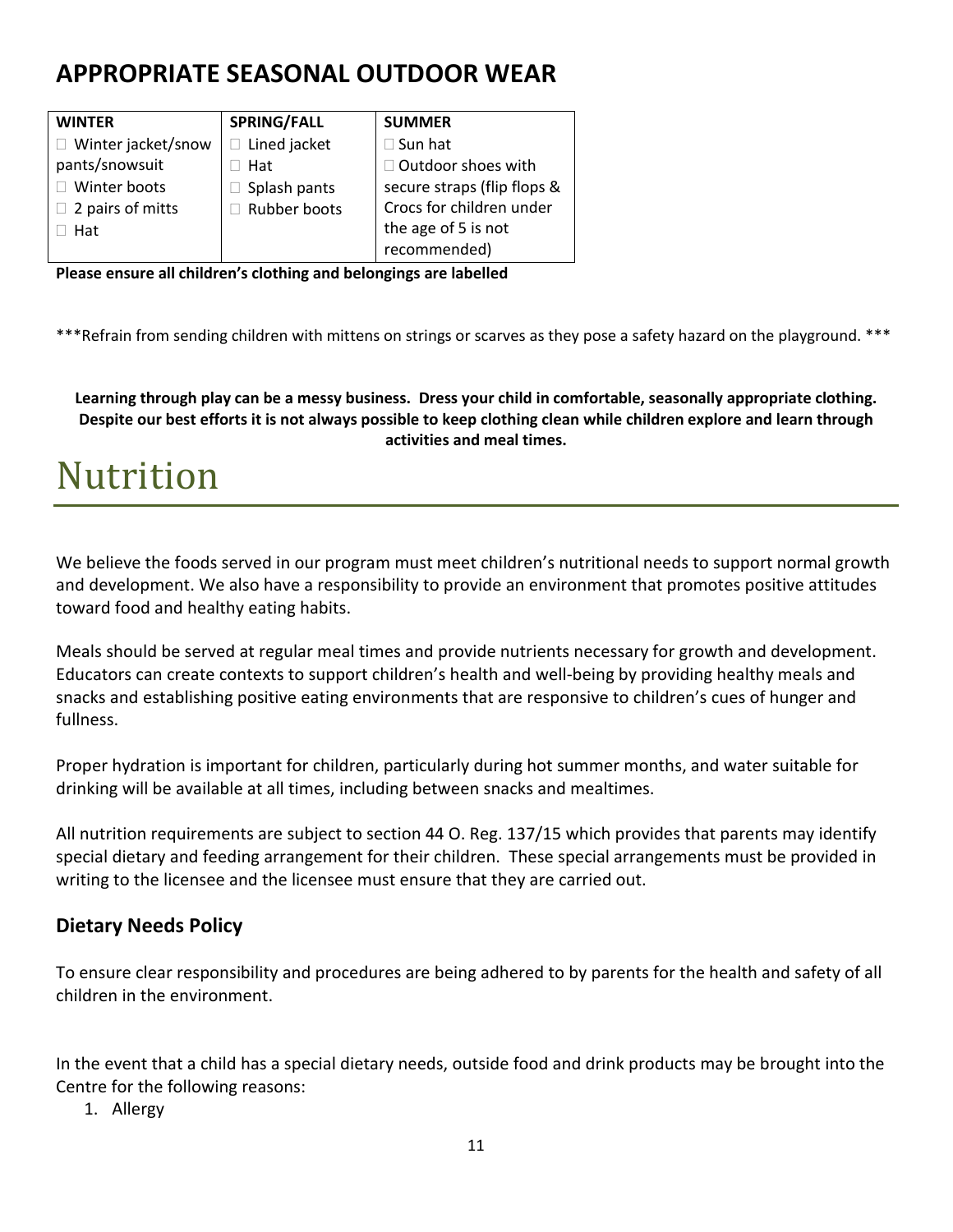#### APPROPRIATE SEASONAL OUTDOOR WEAR

| <b>WINTER</b>           | <b>SPRING/FALL</b>  | <b>SUMMER</b>               |
|-------------------------|---------------------|-----------------------------|
| Winter jacket/snow      | Lined jacket        | $\Box$ Sun hat              |
| pants/snowsuit          | Hat                 | $\Box$ Outdoor shoes with   |
| Winter boots            | Splash pants        | secure straps (flip flops & |
| $\Box$ 2 pairs of mitts | <b>Rubber boots</b> | Crocs for children under    |
| Hat                     |                     | the age of 5 is not         |
|                         |                     | recommended)                |

Please ensure all children's clothing and belongings are labelled

\*\*\*Refrain from sending children with mittens on strings or scarves as they pose a safety hazard on the playground. \*\*\*

Learning through play can be a messy business. Dress your child in comfortable, seasonally appropriate clothing. Despite our best efforts it is not always possible to keep clothing clean while children explore and learn through activities and meal times.

#### <span id="page-11-0"></span>Nutrition

We believe the foods served in our program must meet children's nutritional needs to support normal growth and development. We also have a responsibility to provide an environment that promotes positive attitudes toward food and healthy eating habits.

Meals should be served at regular meal times and provide nutrients necessary for growth and development. Educators can create contexts to support children's health and well-being by providing healthy meals and snacks and establishing positive eating environments that are responsive to children's cues of hunger and fullness.

Proper hydration is important for children, particularly during hot summer months, and water suitable for drinking will be available at all times, including between snacks and mealtimes.

All nutrition requirements are subject to section 44 O. Reg. 137/15 which provides that parents may identify special dietary and feeding arrangement for their children. These special arrangements must be provided in writing to the licensee and the licensee must ensure that they are carried out.

#### Dietary Needs Policy

To ensure clear responsibility and procedures are being adhered to by parents for the health and safety of all children in the environment.

In the event that a child has a special dietary needs, outside food and drink products may be brought into the Centre for the following reasons:

1. Allergy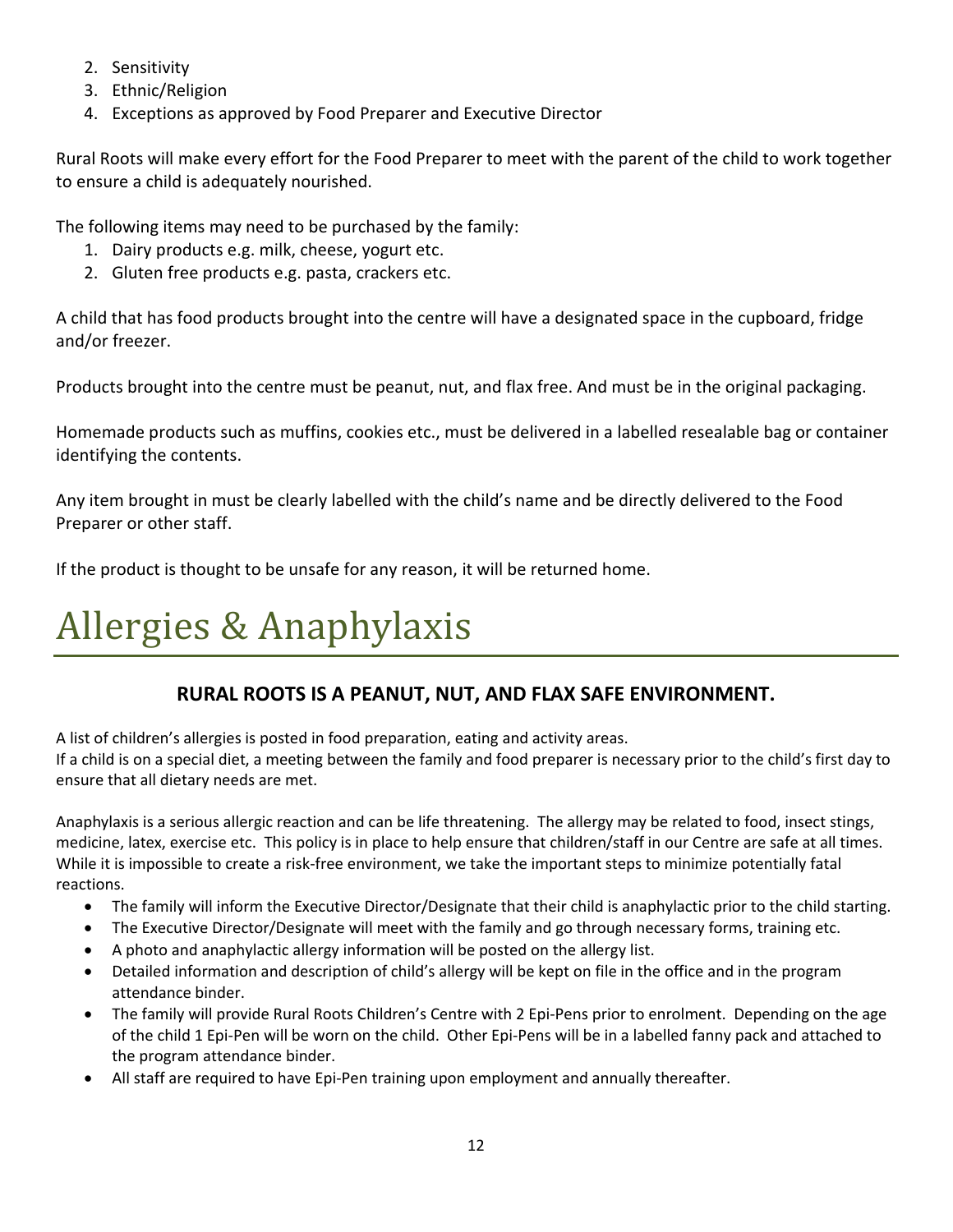- 2. Sensitivity
- 3. Ethnic/Religion
- 4. Exceptions as approved by Food Preparer and Executive Director

Rural Roots will make every effort for the Food Preparer to meet with the parent of the child to work together to ensure a child is adequately nourished.

The following items may need to be purchased by the family:

- 1. Dairy products e.g. milk, cheese, yogurt etc.
- 2. Gluten free products e.g. pasta, crackers etc.

A child that has food products brought into the centre will have a designated space in the cupboard, fridge and/or freezer.

Products brought into the centre must be peanut, nut, and flax free. And must be in the original packaging.

Homemade products such as muffins, cookies etc., must be delivered in a labelled resealable bag or container identifying the contents.

Any item brought in must be clearly labelled with the child's name and be directly delivered to the Food Preparer or other staff.

If the product is thought to be unsafe for any reason, it will be returned home.

# <span id="page-12-0"></span>Allergies & Anaphylaxis

#### RURAL ROOTS IS A PEANUT, NUT, AND FLAX SAFE ENVIRONMENT.

A list of children's allergies is posted in food preparation, eating and activity areas.

If a child is on a special diet, a meeting between the family and food preparer is necessary prior to the child's first day to ensure that all dietary needs are met.

Anaphylaxis is a serious allergic reaction and can be life threatening. The allergy may be related to food, insect stings, medicine, latex, exercise etc. This policy is in place to help ensure that children/staff in our Centre are safe at all times. While it is impossible to create a risk-free environment, we take the important steps to minimize potentially fatal reactions.

- The family will inform the Executive Director/Designate that their child is anaphylactic prior to the child starting.
- The Executive Director/Designate will meet with the family and go through necessary forms, training etc.
- A photo and anaphylactic allergy information will be posted on the allergy list.
- Detailed information and description of child's allergy will be kept on file in the office and in the program attendance binder.
- The family will provide Rural Roots Children's Centre with 2 Epi-Pens prior to enrolment. Depending on the age of the child 1 Epi-Pen will be worn on the child. Other Epi-Pens will be in a labelled fanny pack and attached to the program attendance binder.
- All staff are required to have Epi-Pen training upon employment and annually thereafter.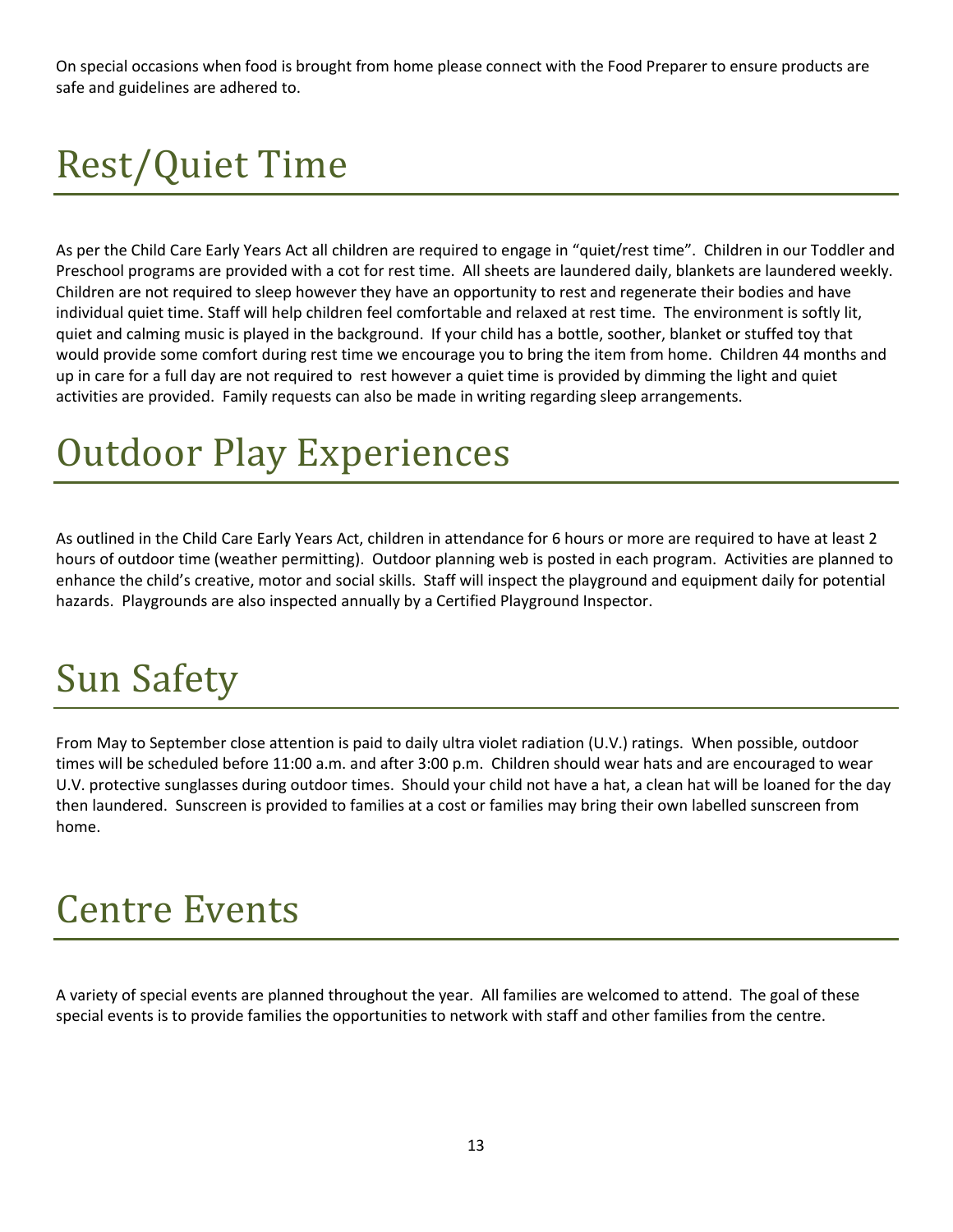On special occasions when food is brought from home please connect with the Food Preparer to ensure products are safe and guidelines are adhered to.

# <span id="page-13-0"></span>Rest/Quiet Time

As per the Child Care Early Years Act all children are required to engage in "quiet/rest time". Children in our Toddler and Preschool programs are provided with a cot for rest time. All sheets are laundered daily, blankets are laundered weekly. Children are not required to sleep however they have an opportunity to rest and regenerate their bodies and have individual quiet time. Staff will help children feel comfortable and relaxed at rest time. The environment is softly lit, quiet and calming music is played in the background. If your child has a bottle, soother, blanket or stuffed toy that would provide some comfort during rest time we encourage you to bring the item from home. Children 44 months and up in care for a full day are not required to rest however a quiet time is provided by dimming the light and quiet activities are provided. Family requests can also be made in writing regarding sleep arrangements.

## Outdoor Play Experiences

As outlined in the Child Care Early Years Act, children in attendance for 6 hours or more are required to have at least 2 hours of outdoor time (weather permitting). Outdoor planning web is posted in each program. Activities are planned to enhance the child's creative, motor and social skills. Staff will inspect the playground and equipment daily for potential hazards. Playgrounds are also inspected annually by a Certified Playground Inspector.

### Sun Safety

From May to September close attention is paid to daily ultra violet radiation (U.V.) ratings. When possible, outdoor times will be scheduled before 11:00 a.m. and after 3:00 p.m. Children should wear hats and are encouraged to wear U.V. protective sunglasses during outdoor times. Should your child not have a hat, a clean hat will be loaned for the day then laundered. Sunscreen is provided to families at a cost or families may bring their own labelled sunscreen from home.

#### <span id="page-13-1"></span>Centre Events

A variety of special events are planned throughout the year. All families are welcomed to attend. The goal of these special events is to provide families the opportunities to network with staff and other families from the centre.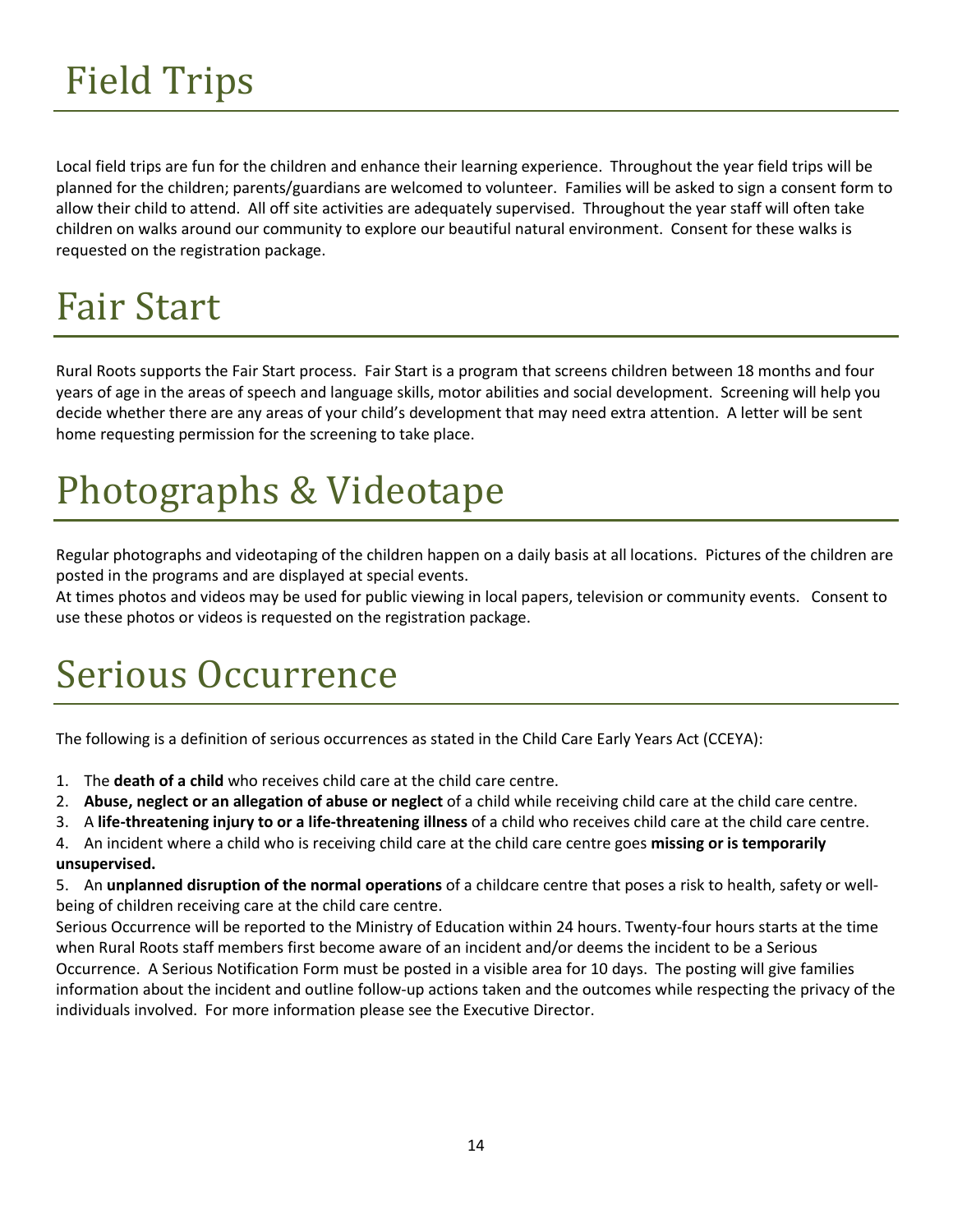# <span id="page-14-0"></span>Field Trips

Local field trips are fun for the children and enhance their learning experience. Throughout the year field trips will be planned for the children; parents/guardians are welcomed to volunteer. Families will be asked to sign a consent form to allow their child to attend. All off site activities are adequately supervised. Throughout the year staff will often take children on walks around our community to explore our beautiful natural environment. Consent for these walks is requested on the registration package.

# Fair Start

Rural Roots supports the Fair Start process. Fair Start is a program that screens children between 18 months and four years of age in the areas of speech and language skills, motor abilities and social development. Screening will help you decide whether there are any areas of your child's development that may need extra attention. A letter will be sent home requesting permission for the screening to take place.

# Photographs & Videotape

Regular photographs and videotaping of the children happen on a daily basis at all locations. Pictures of the children are posted in the programs and are displayed at special events.

At times photos and videos may be used for public viewing in local papers, television or community events. Consent to use these photos or videos is requested on the registration package.

# Serious Occurrence

The following is a definition of serious occurrences as stated in the Child Care Early Years Act (CCEYA):

- 1. The death of a child who receives child care at the child care centre.
- 2. Abuse, neglect or an allegation of abuse or neglect of a child while receiving child care at the child care centre.
- 3. A life-threatening injury to or a life-threatening illness of a child who receives child care at the child care centre.

4. An incident where a child who is receiving child care at the child care centre goes missing or is temporarily unsupervised.

5. An unplanned disruption of the normal operations of a childcare centre that poses a risk to health, safety or wellbeing of children receiving care at the child care centre.

Serious Occurrence will be reported to the Ministry of Education within 24 hours. Twenty-four hours starts at the time when Rural Roots staff members first become aware of an incident and/or deems the incident to be a Serious Occurrence. A Serious Notification Form must be posted in a visible area for 10 days. The posting will give families information about the incident and outline follow-up actions taken and the outcomes while respecting the privacy of the individuals involved. For more information please see the Executive Director.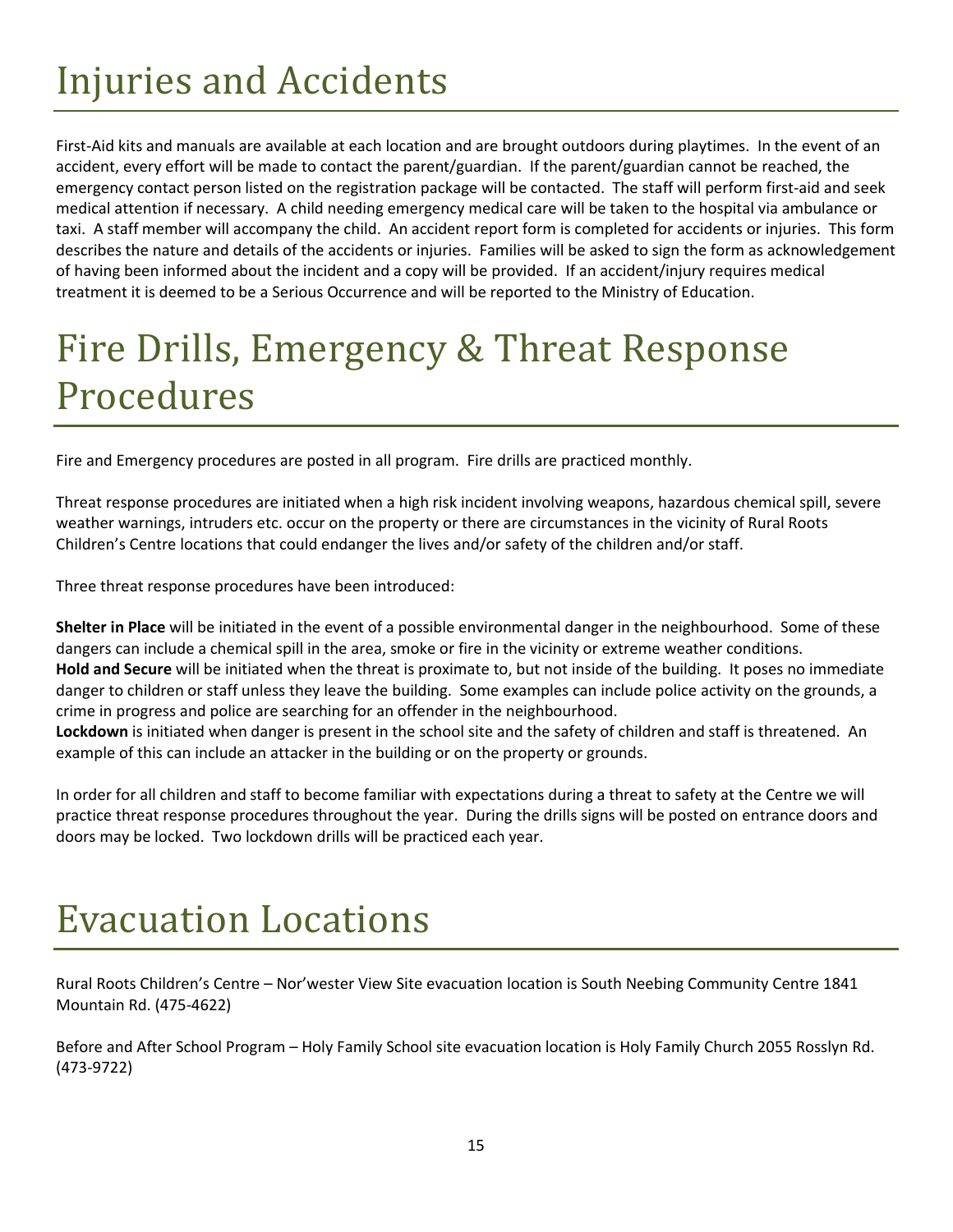# <span id="page-15-0"></span>Injuries and Accidents

First-Aid kits and manuals are available at each location and are brought outdoors during playtimes. In the event of an accident, every effort will be made to contact the parent/guardian. If the parent/guardian cannot be reached, the emergency contact person listed on the registration package will be contacted. The staff will perform first-aid and seek medical attention if necessary. A child needing emergency medical care will be taken to the hospital via ambulance or taxi. A staff member will accompany the child. An accident report form is completed for accidents or injuries. This form describes the nature and details of the accidents or injuries. Families will be asked to sign the form as acknowledgement of having been informed about the incident and a copy will be provided. If an accident/injury requires medical treatment it is deemed to be a Serious Occurrence and will be reported to the Ministry of Education.

# Fire Drills, Emergency & Threat Response Procedures

Fire and Emergency procedures are posted in all program. Fire drills are practiced monthly.

Threat response procedures are initiated when a high risk incident involving weapons, hazardous chemical spill, severe weather warnings, intruders etc. occur on the property or there are circumstances in the vicinity of Rural Roots Children's Centre locations that could endanger the lives and/or safety of the children and/or staff.

Three threat response procedures have been introduced:

Shelter in Place will be initiated in the event of a possible environmental danger in the neighbourhood. Some of these dangers can include a chemical spill in the area, smoke or fire in the vicinity or extreme weather conditions. Hold and Secure will be initiated when the threat is proximate to, but not inside of the building. It poses no immediate danger to children or staff unless they leave the building. Some examples can include police activity on the grounds, a crime in progress and police are searching for an offender in the neighbourhood.

Lockdown is initiated when danger is present in the school site and the safety of children and staff is threatened. An example of this can include an attacker in the building or on the property or grounds.

In order for all children and staff to become familiar with expectations during a threat to safety at the Centre we will practice threat response procedures throughout the year. During the drills signs will be posted on entrance doors and doors may be locked. Two lockdown drills will be practiced each year.

### Evacuation Locations

Rural Roots Children's Centre – Nor'wester View Site evacuation location is South Neebing Community Centre 1841 Mountain Rd. (475-4622)

Before and After School Program – Holy Family School site evacuation location is Holy Family Church 2055 Rosslyn Rd. (473-9722)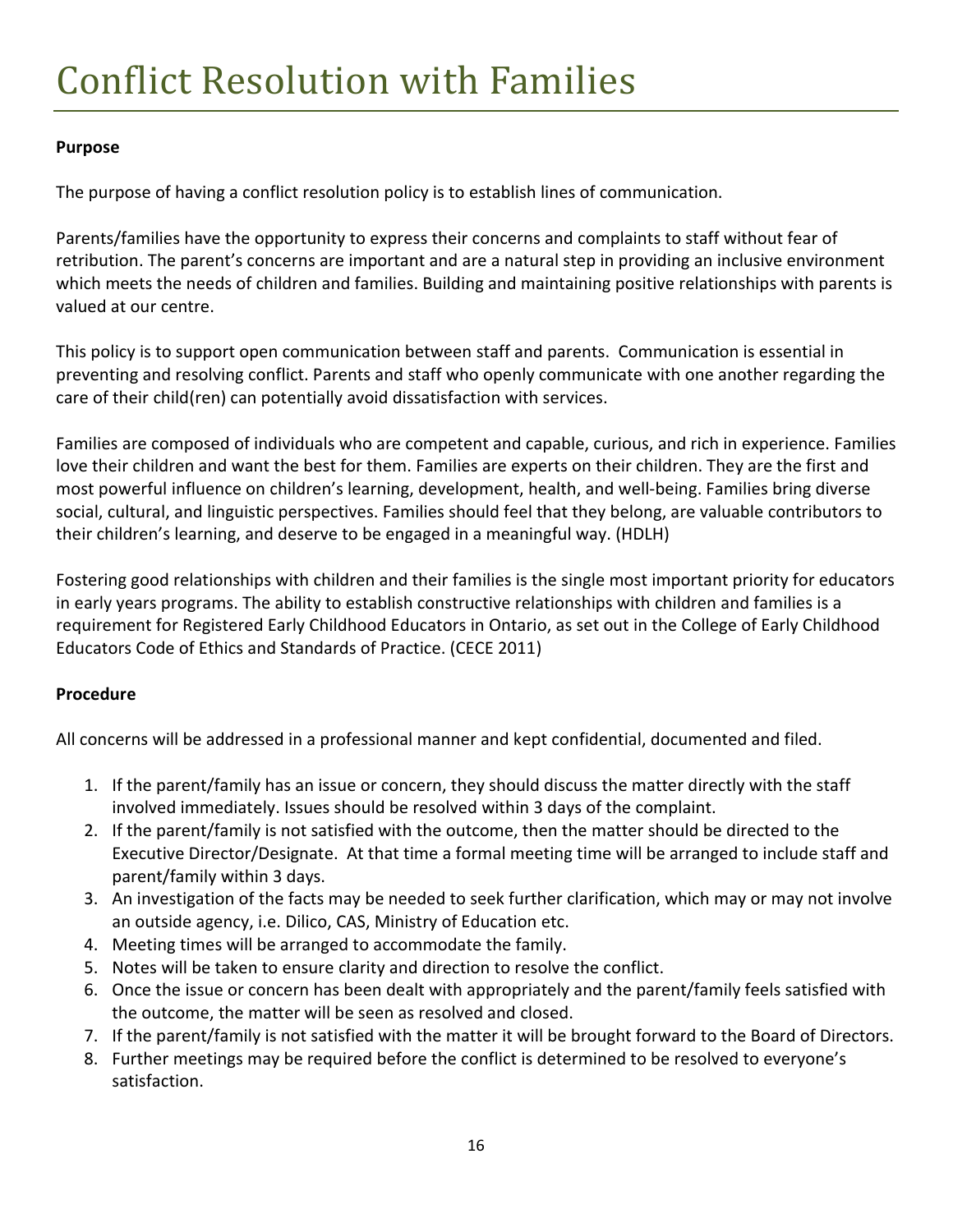#### Purpose

The purpose of having a conflict resolution policy is to establish lines of communication.

Parents/families have the opportunity to express their concerns and complaints to staff without fear of retribution. The parent's concerns are important and are a natural step in providing an inclusive environment which meets the needs of children and families. Building and maintaining positive relationships with parents is valued at our centre.

This policy is to support open communication between staff and parents. Communication is essential in preventing and resolving conflict. Parents and staff who openly communicate with one another regarding the care of their child(ren) can potentially avoid dissatisfaction with services.

Families are composed of individuals who are competent and capable, curious, and rich in experience. Families love their children and want the best for them. Families are experts on their children. They are the first and most powerful influence on children's learning, development, health, and well-being. Families bring diverse social, cultural, and linguistic perspectives. Families should feel that they belong, are valuable contributors to their children's learning, and deserve to be engaged in a meaningful way. (HDLH)

Fostering good relationships with children and their families is the single most important priority for educators in early years programs. The ability to establish constructive relationships with children and families is a requirement for Registered Early Childhood Educators in Ontario, as set out in the College of Early Childhood Educators Code of Ethics and Standards of Practice. (CECE 2011)

#### Procedure

All concerns will be addressed in a professional manner and kept confidential, documented and filed.

- 1. If the parent/family has an issue or concern, they should discuss the matter directly with the staff involved immediately. Issues should be resolved within 3 days of the complaint.
- 2. If the parent/family is not satisfied with the outcome, then the matter should be directed to the Executive Director/Designate. At that time a formal meeting time will be arranged to include staff and parent/family within 3 days.
- 3. An investigation of the facts may be needed to seek further clarification, which may or may not involve an outside agency, i.e. Dilico, CAS, Ministry of Education etc.
- 4. Meeting times will be arranged to accommodate the family.
- 5. Notes will be taken to ensure clarity and direction to resolve the conflict.
- 6. Once the issue or concern has been dealt with appropriately and the parent/family feels satisfied with the outcome, the matter will be seen as resolved and closed.
- 7. If the parent/family is not satisfied with the matter it will be brought forward to the Board of Directors.
- 8. Further meetings may be required before the conflict is determined to be resolved to everyone's satisfaction.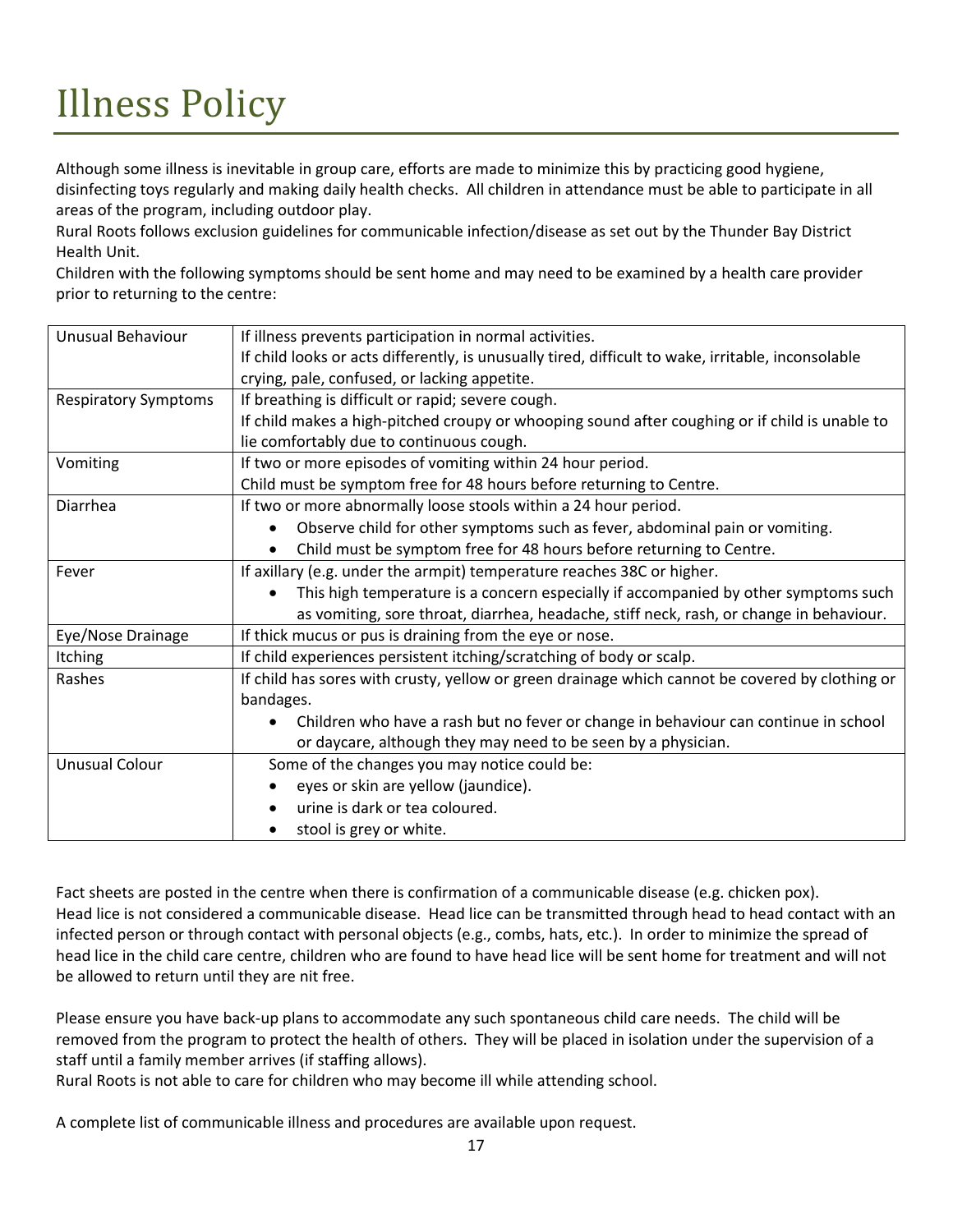# Illness Policy

Although some illness is inevitable in group care, efforts are made to minimize this by practicing good hygiene, disinfecting toys regularly and making daily health checks. All children in attendance must be able to participate in all areas of the program, including outdoor play.

Rural Roots follows exclusion guidelines for communicable infection/disease as set out by the Thunder Bay District Health Unit.

Children with the following symptoms should be sent home and may need to be examined by a health care provider prior to returning to the centre:

| Unusual Behaviour           | If illness prevents participation in normal activities.                                            |  |  |
|-----------------------------|----------------------------------------------------------------------------------------------------|--|--|
|                             | If child looks or acts differently, is unusually tired, difficult to wake, irritable, inconsolable |  |  |
|                             | crying, pale, confused, or lacking appetite.                                                       |  |  |
| <b>Respiratory Symptoms</b> | If breathing is difficult or rapid; severe cough.                                                  |  |  |
|                             | If child makes a high-pitched croupy or whooping sound after coughing or if child is unable to     |  |  |
|                             | lie comfortably due to continuous cough.                                                           |  |  |
| Vomiting                    | If two or more episodes of vomiting within 24 hour period.                                         |  |  |
|                             | Child must be symptom free for 48 hours before returning to Centre.                                |  |  |
| Diarrhea                    | If two or more abnormally loose stools within a 24 hour period.                                    |  |  |
|                             | Observe child for other symptoms such as fever, abdominal pain or vomiting.                        |  |  |
|                             | Child must be symptom free for 48 hours before returning to Centre.                                |  |  |
| Fever                       | If axillary (e.g. under the armpit) temperature reaches 38C or higher.                             |  |  |
|                             | This high temperature is a concern especially if accompanied by other symptoms such                |  |  |
|                             | as vomiting, sore throat, diarrhea, headache, stiff neck, rash, or change in behaviour.            |  |  |
| Eye/Nose Drainage           | If thick mucus or pus is draining from the eye or nose.                                            |  |  |
| <b>Itching</b>              | If child experiences persistent itching/scratching of body or scalp.                               |  |  |
| Rashes                      | If child has sores with crusty, yellow or green drainage which cannot be covered by clothing or    |  |  |
|                             | bandages.                                                                                          |  |  |
|                             | Children who have a rash but no fever or change in behaviour can continue in school                |  |  |
|                             | or daycare, although they may need to be seen by a physician.                                      |  |  |
| <b>Unusual Colour</b>       | Some of the changes you may notice could be:                                                       |  |  |
|                             | eyes or skin are yellow (jaundice).                                                                |  |  |
|                             | urine is dark or tea coloured.                                                                     |  |  |
|                             | stool is grey or white.                                                                            |  |  |

Fact sheets are posted in the centre when there is confirmation of a communicable disease (e.g. chicken pox). Head lice is not considered a communicable disease. Head lice can be transmitted through head to head contact with an infected person or through contact with personal objects (e.g., combs, hats, etc.). In order to minimize the spread of head lice in the child care centre, children who are found to have head lice will be sent home for treatment and will not be allowed to return until they are nit free.

Please ensure you have back-up plans to accommodate any such spontaneous child care needs. The child will be removed from the program to protect the health of others. They will be placed in isolation under the supervision of a staff until a family member arrives (if staffing allows).

Rural Roots is not able to care for children who may become ill while attending school.

A complete list of communicable illness and procedures are available upon request.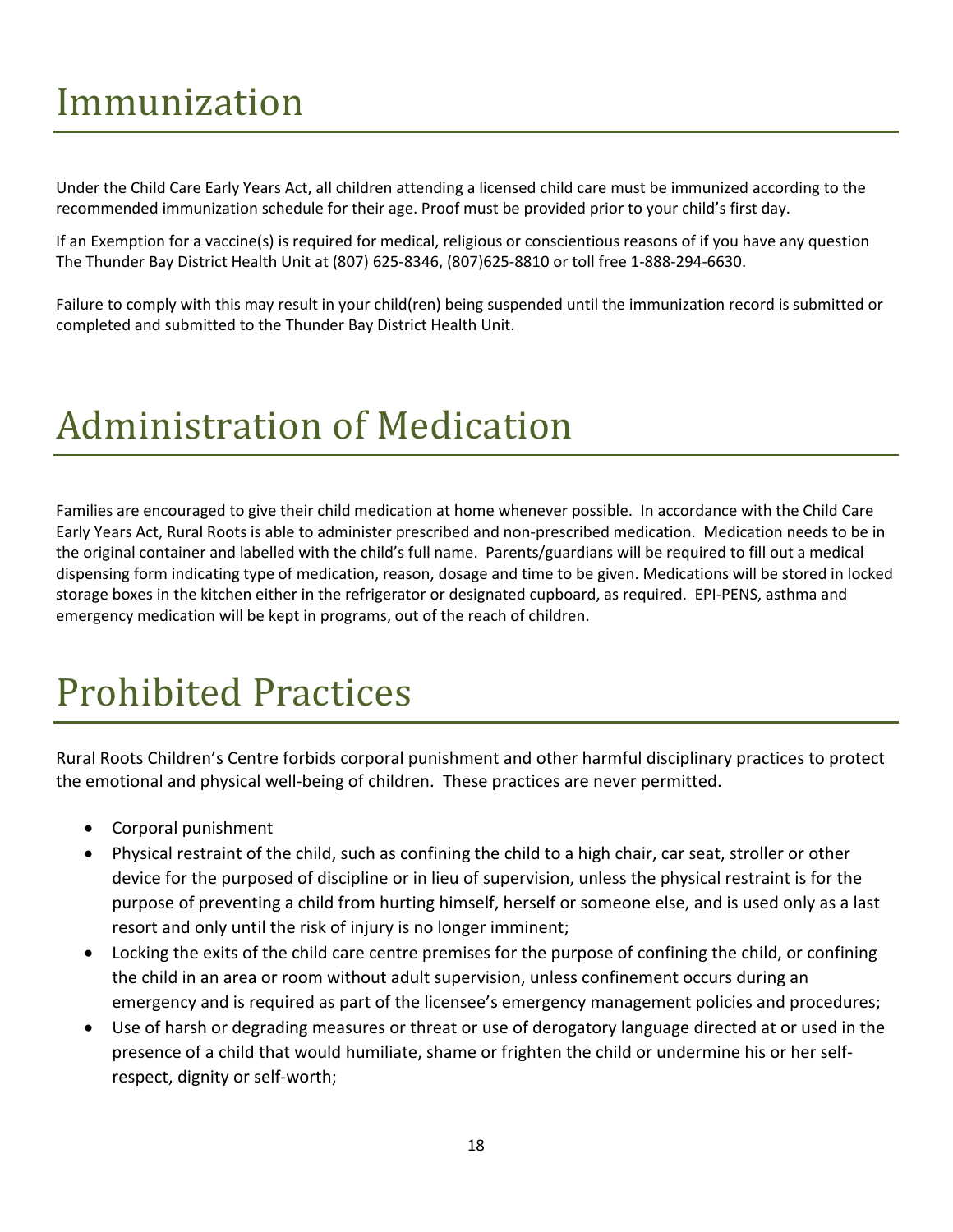# Immunization

Under the Child Care Early Years Act, all children attending a licensed child care must be immunized according to the recommended immunization schedule for their age. Proof must be provided prior to your child's first day.

If an Exemption for a vaccine(s) is required for medical, religious or conscientious reasons of if you have any question The Thunder Bay District Health Unit at (807) 625-8346, (807)625-8810 or toll free 1-888-294-6630.

Failure to comply with this may result in your child(ren) being suspended until the immunization record is submitted or completed and submitted to the Thunder Bay District Health Unit.

# Administration of Medication

Families are encouraged to give their child medication at home whenever possible. In accordance with the Child Care Early Years Act, Rural Roots is able to administer prescribed and non-prescribed medication. Medication needs to be in the original container and labelled with the child's full name. Parents/guardians will be required to fill out a medical dispensing form indicating type of medication, reason, dosage and time to be given. Medications will be stored in locked storage boxes in the kitchen either in the refrigerator or designated cupboard, as required. EPI-PENS, asthma and emergency medication will be kept in programs, out of the reach of children.

# <span id="page-18-0"></span>Prohibited Practices

Rural Roots Children's Centre forbids corporal punishment and other harmful disciplinary practices to protect the emotional and physical well-being of children. These practices are never permitted.

- Corporal punishment
- Physical restraint of the child, such as confining the child to a high chair, car seat, stroller or other device for the purposed of discipline or in lieu of supervision, unless the physical restraint is for the purpose of preventing a child from hurting himself, herself or someone else, and is used only as a last resort and only until the risk of injury is no longer imminent;
- Locking the exits of the child care centre premises for the purpose of confining the child, or confining the child in an area or room without adult supervision, unless confinement occurs during an emergency and is required as part of the licensee's emergency management policies and procedures;
- Use of harsh or degrading measures or threat or use of derogatory language directed at or used in the presence of a child that would humiliate, shame or frighten the child or undermine his or her selfrespect, dignity or self-worth;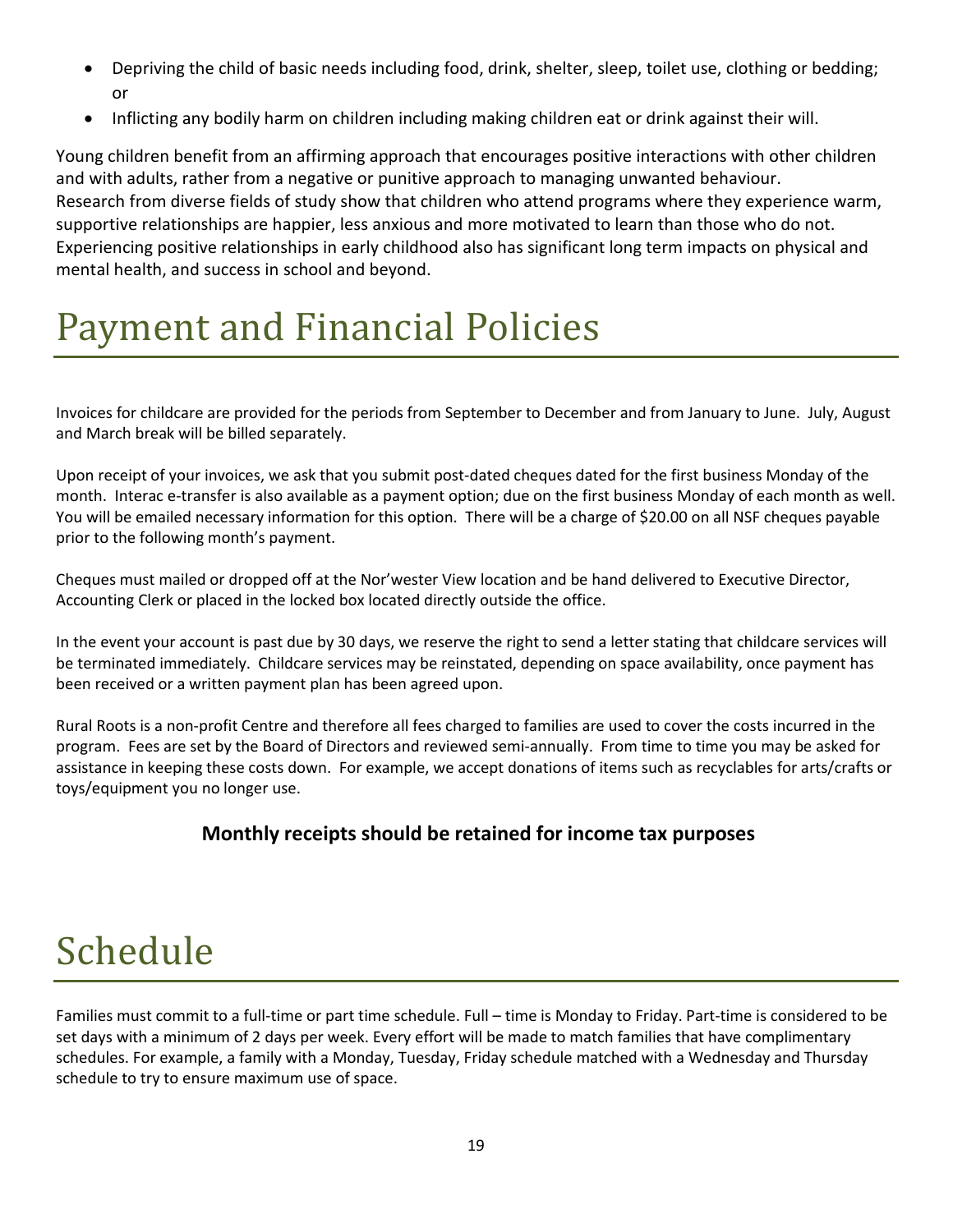- Depriving the child of basic needs including food, drink, shelter, sleep, toilet use, clothing or bedding; or
- Inflicting any bodily harm on children including making children eat or drink against their will.

Young children benefit from an affirming approach that encourages positive interactions with other children and with adults, rather from a negative or punitive approach to managing unwanted behaviour. Research from diverse fields of study show that children who attend programs where they experience warm, supportive relationships are happier, less anxious and more motivated to learn than those who do not. Experiencing positive relationships in early childhood also has significant long term impacts on physical and mental health, and success in school and beyond.

## <span id="page-19-0"></span>Payment and Financial Policies

Invoices for childcare are provided for the periods from September to December and from January to June. July, August and March break will be billed separately.

Upon receipt of your invoices, we ask that you submit post-dated cheques dated for the first business Monday of the month. Interac e-transfer is also available as a payment option; due on the first business Monday of each month as well. You will be emailed necessary information for this option. There will be a charge of \$20.00 on all NSF cheques payable prior to the following month's payment.

Cheques must mailed or dropped off at the Nor'wester View location and be hand delivered to Executive Director, Accounting Clerk or placed in the locked box located directly outside the office.

In the event your account is past due by 30 days, we reserve the right to send a letter stating that childcare services will be terminated immediately. Childcare services may be reinstated, depending on space availability, once payment has been received or a written payment plan has been agreed upon.

Rural Roots is a non-profit Centre and therefore all fees charged to families are used to cover the costs incurred in the program. Fees are set by the Board of Directors and reviewed semi-annually. From time to time you may be asked for assistance in keeping these costs down. For example, we accept donations of items such as recyclables for arts/crafts or toys/equipment you no longer use.

#### Monthly receipts should be retained for income tax purposes

# <span id="page-19-1"></span>Schedule

Families must commit to a full-time or part time schedule. Full – time is Monday to Friday. Part-time is considered to be set days with a minimum of 2 days per week. Every effort will be made to match families that have complimentary schedules. For example, a family with a Monday, Tuesday, Friday schedule matched with a Wednesday and Thursday schedule to try to ensure maximum use of space.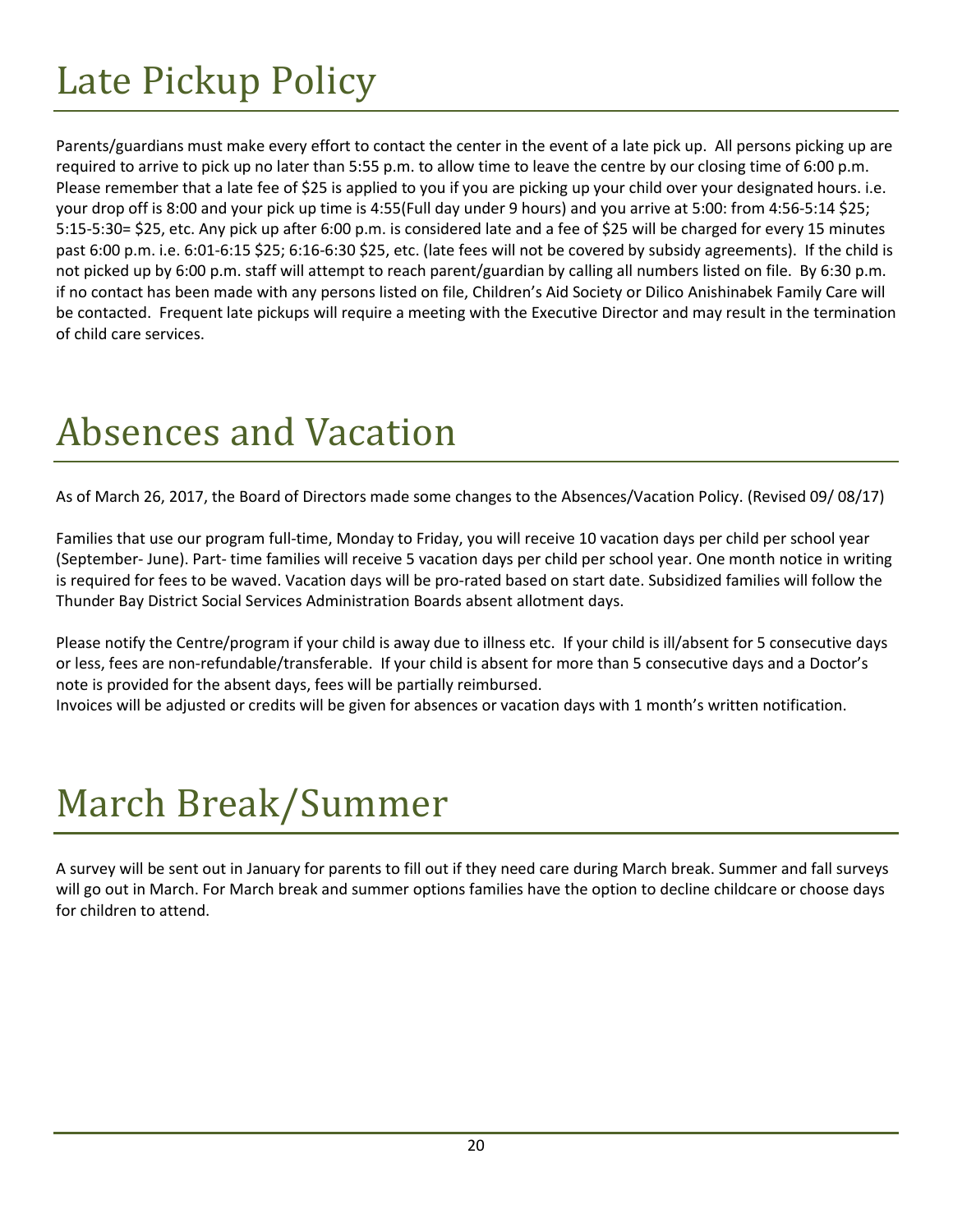# <span id="page-20-0"></span>Late Pickup Policy

Parents/guardians must make every effort to contact the center in the event of a late pick up. All persons picking up are required to arrive to pick up no later than 5:55 p.m. to allow time to leave the centre by our closing time of 6:00 p.m. Please remember that a late fee of \$25 is applied to you if you are picking up your child over your designated hours. i.e. your drop off is 8:00 and your pick up time is 4:55(Full day under 9 hours) and you arrive at 5:00: from 4:56-5:14 \$25; 5:15-5:30= \$25, etc. Any pick up after 6:00 p.m. is considered late and a fee of \$25 will be charged for every 15 minutes past 6:00 p.m. i.e. 6:01-6:15 \$25; 6:16-6:30 \$25, etc. (late fees will not be covered by subsidy agreements). If the child is not picked up by 6:00 p.m. staff will attempt to reach parent/guardian by calling all numbers listed on file. By 6:30 p.m. if no contact has been made with any persons listed on file, Children's Aid Society or Dilico Anishinabek Family Care will be contacted. Frequent late pickups will require a meeting with the Executive Director and may result in the termination of child care services.

# <span id="page-20-1"></span>Absences and Vacation

As of March 26, 2017, the Board of Directors made some changes to the Absences/Vacation Policy. (Revised 09/ 08/17)

Families that use our program full-time, Monday to Friday, you will receive 10 vacation days per child per school year (September- June). Part- time families will receive 5 vacation days per child per school year. One month notice in writing is required for fees to be waved. Vacation days will be pro-rated based on start date. Subsidized families will follow the Thunder Bay District Social Services Administration Boards absent allotment days.

Please notify the Centre/program if your child is away due to illness etc. If your child is ill/absent for 5 consecutive days or less, fees are non-refundable/transferable. If your child is absent for more than 5 consecutive days and a Doctor's note is provided for the absent days, fees will be partially reimbursed.

Invoices will be adjusted or credits will be given for absences or vacation days with 1 month's written notification.

# March Break/Summer

A survey will be sent out in January for parents to fill out if they need care during March break. Summer and fall surveys will go out in March. For March break and summer options families have the option to decline childcare or choose days for children to attend.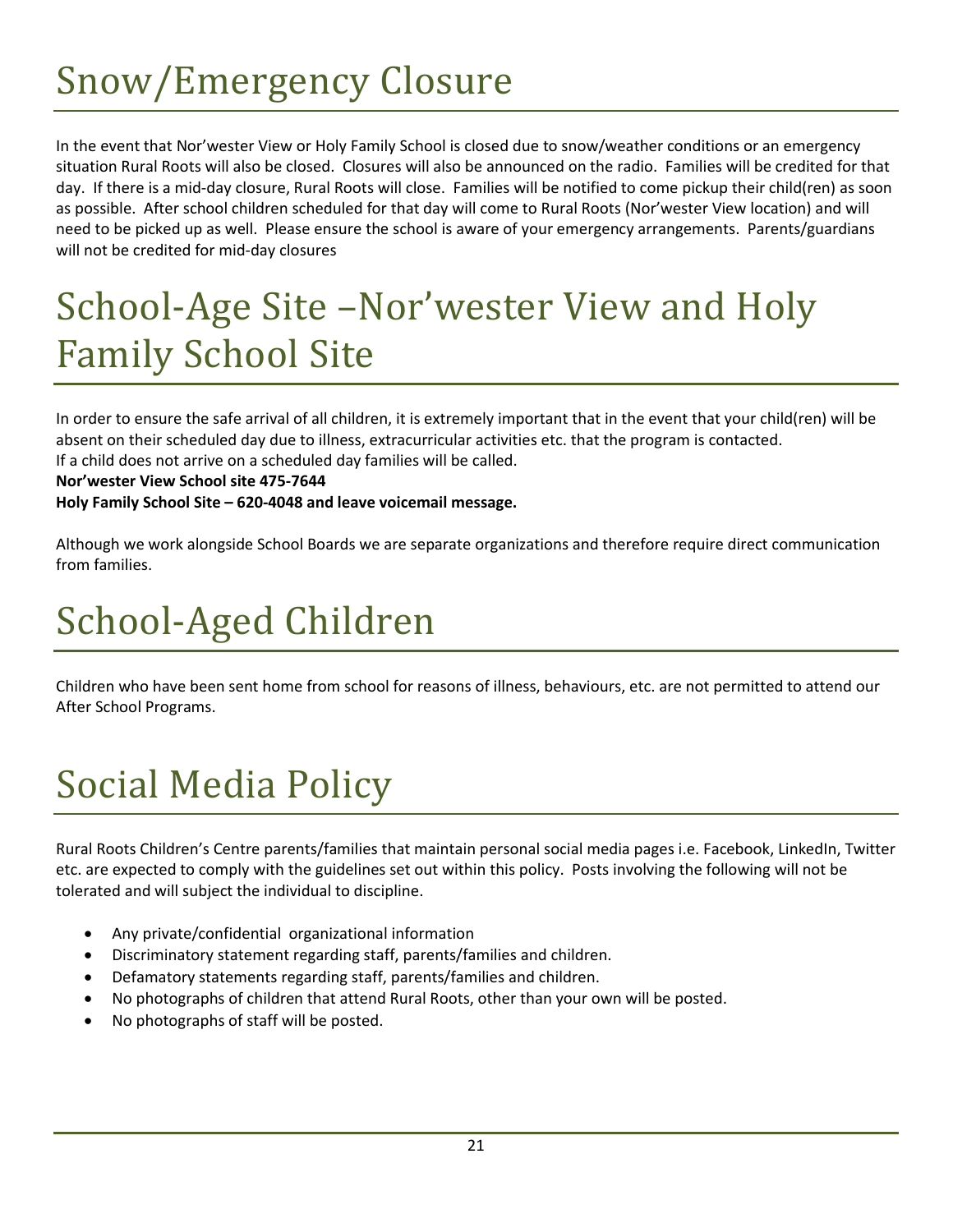# Snow/Emergency Closure

In the event that Nor'wester View or Holy Family School is closed due to snow/weather conditions or an emergency situation Rural Roots will also be closed. Closures will also be announced on the radio. Families will be credited for that day. If there is a mid-day closure, Rural Roots will close. Families will be notified to come pickup their child(ren) as soon as possible. After school children scheduled for that day will come to Rural Roots (Nor'wester View location) and will need to be picked up as well. Please ensure the school is aware of your emergency arrangements. Parents/guardians will not be credited for mid-day closures

# <span id="page-21-1"></span>School-Age Site –Nor'wester View and Holy Family School Site

In order to ensure the safe arrival of all children, it is extremely important that in the event that your child(ren) will be absent on their scheduled day due to illness, extracurricular activities etc. that the program is contacted.

If a child does not arrive on a scheduled day families will be called.

#### Nor'wester View School site 475-7644

Holy Family School Site – 620-4048 and leave voicemail message.

Although we work alongside School Boards we are separate organizations and therefore require direct communication from families.

# <span id="page-21-2"></span>School-Aged Children

Children who have been sent home from school for reasons of illness, behaviours, etc. are not permitted to attend our After School Programs.

# <span id="page-21-3"></span>Social Media Policy

Rural Roots Children's Centre parents/families that maintain personal social media pages i.e. Facebook, LinkedIn, Twitter etc. are expected to comply with the guidelines set out within this policy. Posts involving the following will not be tolerated and will subject the individual to discipline.

- Any private/confidential organizational information
- Discriminatory statement regarding staff, parents/families and children.
- Defamatory statements regarding staff, parents/families and children.
- <span id="page-21-0"></span>No photographs of children that attend Rural Roots, other than your own will be posted.
- No photographs of staff will be posted.